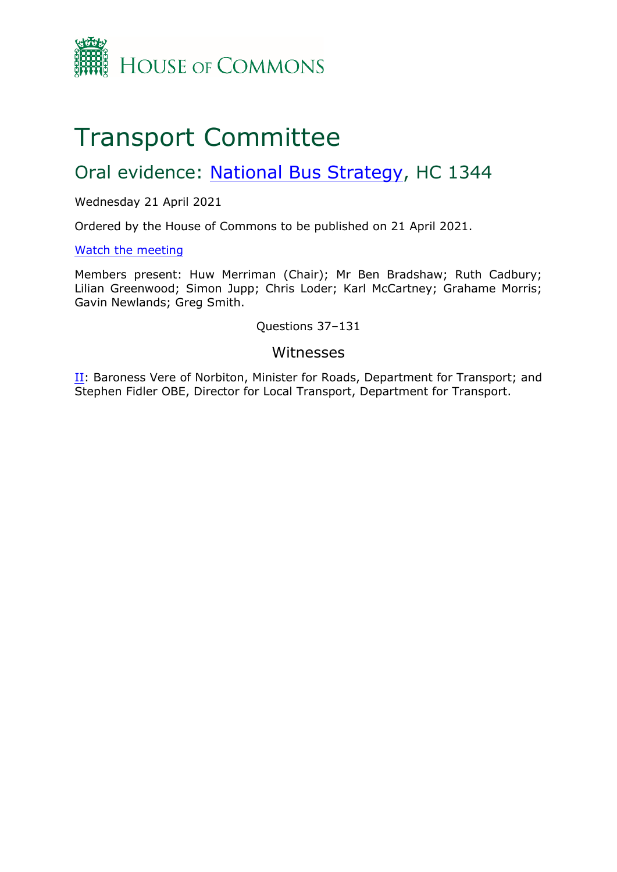

# Transport Committee

## Oral evidence: [National](https://committees.parliament.uk/work/1133/national-bus-strategy/) [Bus](https://committees.parliament.uk/work/1133/national-bus-strategy/) [Strategy](https://committees.parliament.uk/work/1133/national-bus-strategy/), HC 1344

Wednesday 21 April 2021

Ordered by the House of Commons to be published on 21 April 2021.

[Watch](https://www.parliamentlive.tv/Event/Index/258a7499-2148-48a2-808a-05bf62f7de65) [the](https://www.parliamentlive.tv/Event/Index/258a7499-2148-48a2-808a-05bf62f7de65) [meeting](https://www.parliamentlive.tv/Event/Index/258a7499-2148-48a2-808a-05bf62f7de65)

Members present: Huw Merriman (Chair); Mr Ben Bradshaw; Ruth Cadbury; Lilian Greenwood; Simon Jupp; Chris Loder; Karl McCartney; Grahame Morris; Gavin Newlands; Greg Smith.

Questions 37–131

#### Witnesses

[II](#page-1-0): Baroness Vere of Norbiton, Minister for Roads, Department for Transport; and Stephen Fidler OBE, Director for Local Transport, Department for Transport.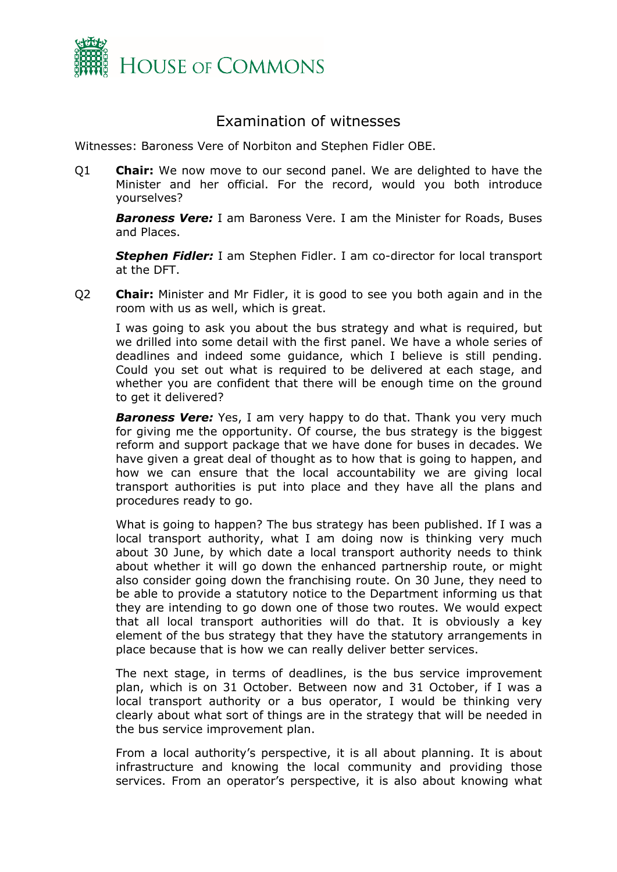

### Examination of witnesses

<span id="page-1-0"></span>Witnesses: Baroness Vere of Norbiton and Stephen Fidler OBE.

Q1 **Chair:** We now move to our second panel. We are delighted to have the Minister and her official. For the record, would you both introduce yourselves?

*Baroness Vere:* I am Baroness Vere. I am the Minister for Roads, Buses and Places.

*Stephen Fidler:* I am Stephen Fidler. I am co-director for local transport at the DFT.

Q2 **Chair:** Minister and Mr Fidler, it is good to see you both again and in the room with us as well, which is great.

I was going to ask you about the bus strategy and what is required, but we drilled into some detail with the first panel. We have a whole series of deadlines and indeed some guidance, which I believe is still pending. Could you set out what is required to be delivered at each stage, and whether you are confident that there will be enough time on the ground to get it delivered?

**Baroness Vere:** Yes, I am very happy to do that. Thank you very much for giving me the opportunity. Of course, the bus strategy is the biggest reform and support package that we have done for buses in decades. We have given a great deal of thought as to how that is going to happen, and how we can ensure that the local accountability we are giving local transport authorities is put into place and they have all the plans and procedures ready to go.

What is going to happen? The bus strategy has been published. If I was a local transport authority, what I am doing now is thinking very much about 30 June, by which date a local transport authority needs to think about whether it will go down the enhanced partnership route, or might also consider going down the franchising route. On 30 June, they need to be able to provide a statutory notice to the Department informing us that they are intending to go down one of those two routes. We would expect that all local transport authorities will do that. It is obviously a key element of the bus strategy that they have the statutory arrangements in place because that is how we can really deliver better services.

The next stage, in terms of deadlines, is the bus service improvement plan, which is on 31 October. Between now and 31 October, if I was a local transport authority or a bus operator, I would be thinking very clearly about what sort of things are in the strategy that will be needed in the bus service improvement plan.

From a local authority's perspective, it is all about planning. It is about infrastructure and knowing the local community and providing those services. From an operator's perspective, it is also about knowing what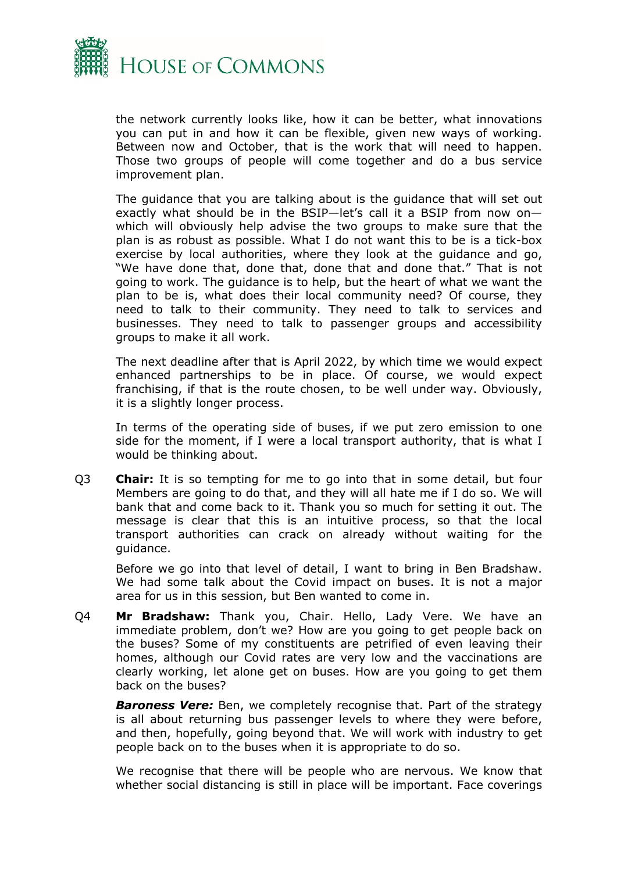

the network currently looks like, how it can be better, what innovations you can put in and how it can be flexible, given new ways of working. Between now and October, that is the work that will need to happen. Those two groups of people will come together and do a bus service improvement plan.

The guidance that you are talking about is the guidance that will set out exactly what should be in the BSIP—let's call it a BSIP from now on which will obviously help advise the two groups to make sure that the plan is as robust as possible. What I do not want this to be is a tick-box exercise by local authorities, where they look at the guidance and go, "We have done that, done that, done that and done that." That is not going to work. The guidance is to help, but the heart of what we want the plan to be is, what does their local community need? Of course, they need to talk to their community. They need to talk to services and businesses. They need to talk to passenger groups and accessibility groups to make it all work.

The next deadline after that is April 2022, by which time we would expect enhanced partnerships to be in place. Of course, we would expect franchising, if that is the route chosen, to be well under way. Obviously, it is a slightly longer process.

In terms of the operating side of buses, if we put zero emission to one side for the moment, if I were a local transport authority, that is what I would be thinking about.

Q3 **Chair:** It is so tempting for me to go into that in some detail, but four Members are going to do that, and they will all hate me if I do so. We will bank that and come back to it. Thank you so much for setting it out. The message is clear that this is an intuitive process, so that the local transport authorities can crack on already without waiting for the guidance.

Before we go into that level of detail, I want to bring in Ben Bradshaw. We had some talk about the Covid impact on buses. It is not a major area for us in this session, but Ben wanted to come in.

Q4 **Mr Bradshaw:** Thank you, Chair. Hello, Lady Vere. We have an immediate problem, don't we? How are you going to get people back on the buses? Some of my constituents are petrified of even leaving their homes, although our Covid rates are very low and the vaccinations are clearly working, let alone get on buses. How are you going to get them back on the buses?

*Baroness Vere:* Ben, we completely recognise that. Part of the strategy is all about returning bus passenger levels to where they were before, and then, hopefully, going beyond that. We will work with industry to get people back on to the buses when it is appropriate to do so.

We recognise that there will be people who are nervous. We know that whether social distancing is still in place will be important. Face coverings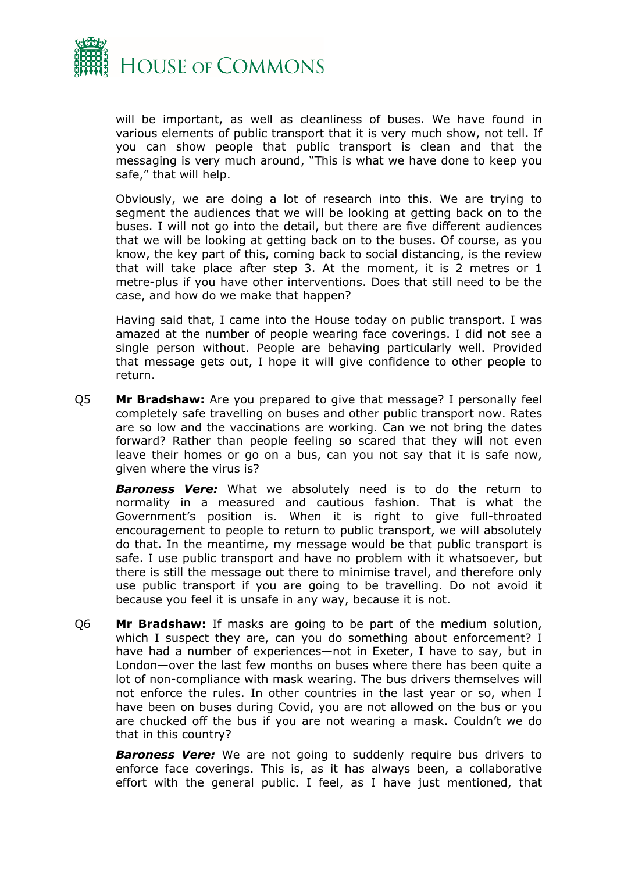

will be important, as well as cleanliness of buses. We have found in various elements of public transport that it is very much show, not tell. If you can show people that public transport is clean and that the messaging is very much around, "This is what we have done to keep you safe," that will help.

Obviously, we are doing a lot of research into this. We are trying to segment the audiences that we will be looking at getting back on to the buses. I will not go into the detail, but there are five different audiences that we will be looking at getting back on to the buses. Of course, as you know, the key part of this, coming back to social distancing, is the review that will take place after step 3. At the moment, it is 2 metres or 1 metre-plus if you have other interventions. Does that still need to be the case, and how do we make that happen?

Having said that, I came into the House today on public transport. I was amazed at the number of people wearing face coverings. I did not see a single person without. People are behaving particularly well. Provided that message gets out, I hope it will give confidence to other people to return.

Q5 **Mr Bradshaw:** Are you prepared to give that message? I personally feel completely safe travelling on buses and other public transport now. Rates are so low and the vaccinations are working. Can we not bring the dates forward? Rather than people feeling so scared that they will not even leave their homes or go on a bus, can you not say that it is safe now, given where the virus is?

*Baroness Vere:* What we absolutely need is to do the return to normality in a measured and cautious fashion. That is what the Government's position is. When it is right to give full-throated encouragement to people to return to public transport, we will absolutely do that. In the meantime, my message would be that public transport is safe. I use public transport and have no problem with it whatsoever, but there is still the message out there to minimise travel, and therefore only use public transport if you are going to be travelling. Do not avoid it because you feel it is unsafe in any way, because it is not.

Q6 **Mr Bradshaw:** If masks are going to be part of the medium solution, which I suspect they are, can you do something about enforcement? I have had a number of experiences—not in Exeter, I have to say, but in London—over the last few months on buses where there has been quite a lot of non-compliance with mask wearing. The bus drivers themselves will not enforce the rules. In other countries in the last year or so, when I have been on buses during Covid, you are not allowed on the bus or you are chucked off the bus if you are not wearing a mask. Couldn't we do that in this country?

*Baroness Vere:* We are not going to suddenly require bus drivers to enforce face coverings. This is, as it has always been, a collaborative effort with the general public. I feel, as I have just mentioned, that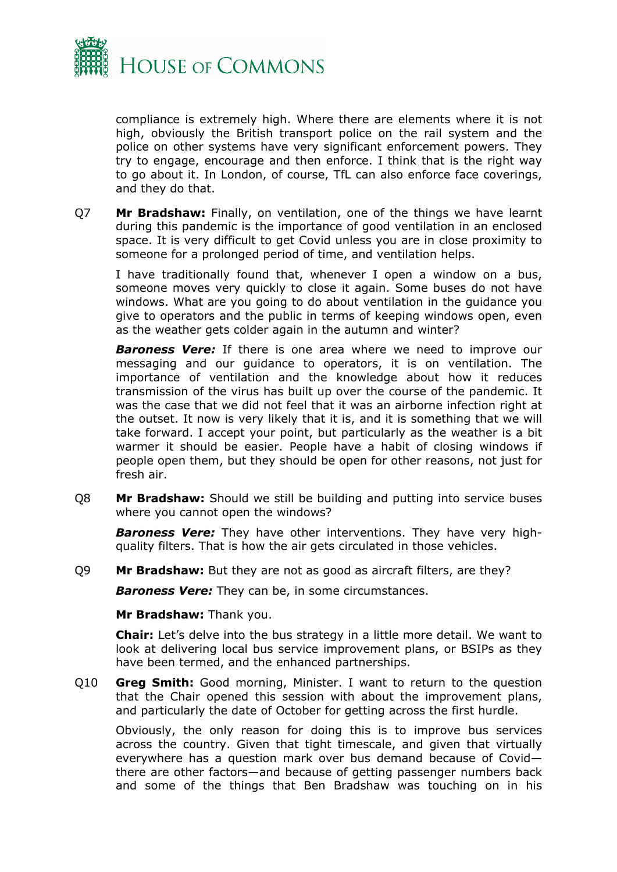

compliance is extremely high. Where there are elements where it is not high, obviously the British transport police on the rail system and the police on other systems have very significant enforcement powers. They try to engage, encourage and then enforce. I think that is the right way to go about it. In London, of course, TfL can also enforce face coverings, and they do that.

Q7 **Mr Bradshaw:** Finally, on ventilation, one of the things we have learnt during this pandemic is the importance of good ventilation in an enclosed space. It is very difficult to get Covid unless you are in close proximity to someone for a prolonged period of time, and ventilation helps.

I have traditionally found that, whenever I open a window on a bus, someone moves very quickly to close it again. Some buses do not have windows. What are you going to do about ventilation in the guidance you give to operators and the public in terms of keeping windows open, even as the weather gets colder again in the autumn and winter?

*Baroness Vere:* If there is one area where we need to improve our messaging and our guidance to operators, it is on ventilation. The importance of ventilation and the knowledge about how it reduces transmission of the virus has built up over the course of the pandemic. It was the case that we did not feel that it was an airborne infection right at the outset. It now is very likely that it is, and it is something that we will take forward. I accept your point, but particularly as the weather is a bit warmer it should be easier. People have a habit of closing windows if people open them, but they should be open for other reasons, not just for fresh air.

Q8 **Mr Bradshaw:** Should we still be building and putting into service buses where you cannot open the windows?

*Baroness Vere:* They have other interventions. They have very highquality filters. That is how the air gets circulated in those vehicles.

Q9 **Mr Bradshaw:** But they are not as good as aircraft filters, are they?

*Baroness Vere:* They can be, in some circumstances.

#### **Mr Bradshaw:** Thank you.

**Chair:** Let's delve into the bus strategy in a little more detail. We want to look at delivering local bus service improvement plans, or BSIPs as they have been termed, and the enhanced partnerships.

Q10 **Greg Smith:** Good morning, Minister. I want to return to the question that the Chair opened this session with about the improvement plans, and particularly the date of October for getting across the first hurdle.

Obviously, the only reason for doing this is to improve bus services across the country. Given that tight timescale, and given that virtually everywhere has a question mark over bus demand because of Covid there are other factors—and because of getting passenger numbers back and some of the things that Ben Bradshaw was touching on in his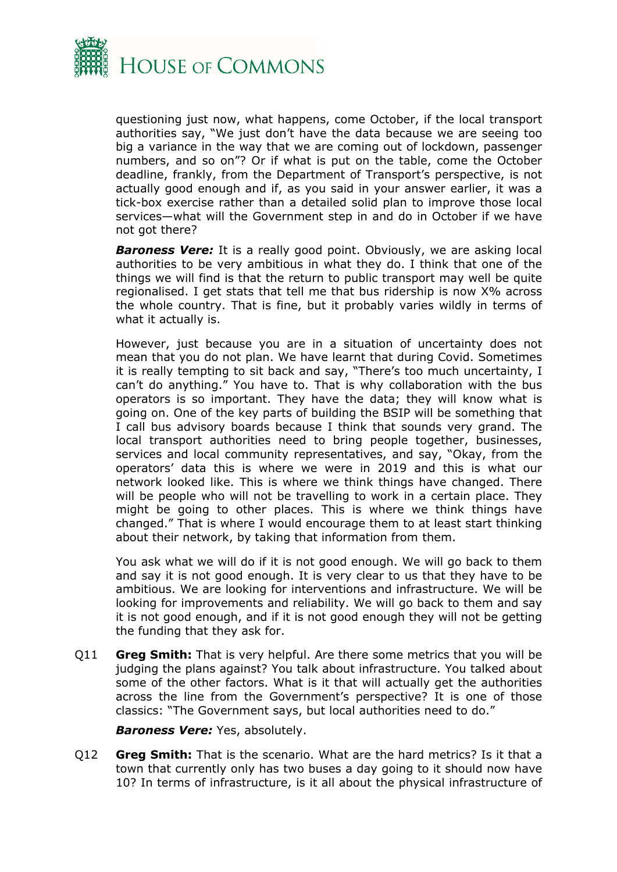

questioning just now, what happens, come October, if the local transport authorities say, "We just don't have the data because we are seeing too big a variance in the way that we are coming out of lockdown, passenger numbers, and so on"? Or if what is put on the table, come the October deadline, frankly, from the Department of Transport's perspective, is not actually good enough and if, as you said in your answer earlier, it was a tick-box exercise rather than a detailed solid plan to improve those local services—what will the Government step in and do in October if we have not got there?

**Baroness Vere:** It is a really good point. Obviously, we are asking local authorities to be very ambitious in what they do. I think that one of the things we will find is that the return to public transport may well be quite regionalised. I get stats that tell me that bus ridership is now X% across the whole country. That is fine, but it probably varies wildly in terms of what it actually is.

However, just because you are in a situation of uncertainty does not mean that you do not plan. We have learnt that during Covid. Sometimes it is really tempting to sit back and say, "There's too much uncertainty, I can't do anything." You have to. That is why collaboration with the bus operators is so important. They have the data; they will know what is going on. One of the key parts of building the BSIP will be something that I call bus advisory boards because I think that sounds very grand. The local transport authorities need to bring people together, businesses, services and local community representatives, and say, "Okay, from the operators' data this is where we were in 2019 and this is what our network looked like. This is where we think things have changed. There will be people who will not be travelling to work in a certain place. They might be going to other places. This is where we think things have changed." That is where I would encourage them to at least start thinking about their network, by taking that information from them.

You ask what we will do if it is not good enough. We will go back to them and say it is not good enough. It is very clear to us that they have to be ambitious. We are looking for interventions and infrastructure. We will be looking for improvements and reliability. We will go back to them and say it is not good enough, and if it is not good enough they will not be getting the funding that they ask for.

Q11 **Greg Smith:** That is very helpful. Are there some metrics that you will be judging the plans against? You talk about infrastructure. You talked about some of the other factors. What is it that will actually get the authorities across the line from the Government's perspective? It is one of those classics: "The Government says, but local authorities need to do."

*Baroness Vere:* Yes, absolutely.

Q12 **Greg Smith:** That is the scenario. What are the hard metrics? Is it that a town that currently only has two buses a day going to it should now have 10? In terms of infrastructure, is it all about the physical infrastructure of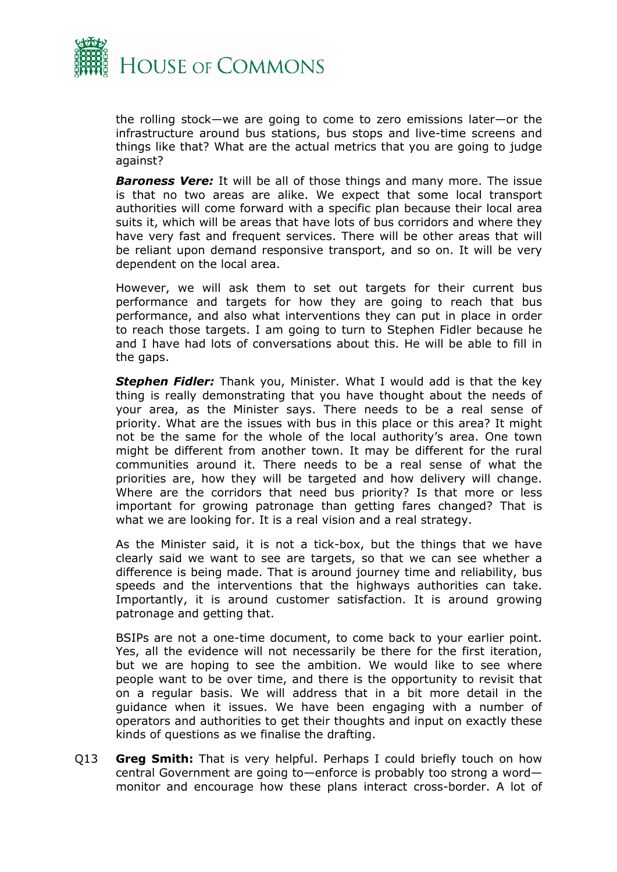

the rolling stock—we are going to come to zero emissions later—or the infrastructure around bus stations, bus stops and live-time screens and things like that? What are the actual metrics that you are going to judge against?

**Baroness Vere:** It will be all of those things and many more. The issue is that no two areas are alike. We expect that some local transport authorities will come forward with a specific plan because their local area suits it, which will be areas that have lots of bus corridors and where they have very fast and frequent services. There will be other areas that will be reliant upon demand responsive transport, and so on. It will be very dependent on the local area.

However, we will ask them to set out targets for their current bus performance and targets for how they are going to reach that bus performance, and also what interventions they can put in place in order to reach those targets. I am going to turn to Stephen Fidler because he and I have had lots of conversations about this. He will be able to fill in the gaps.

*Stephen Fidler:* Thank you, Minister. What I would add is that the key thing is really demonstrating that you have thought about the needs of your area, as the Minister says. There needs to be a real sense of priority. What are the issues with bus in this place or this area? It might not be the same for the whole of the local authority's area. One town might be different from another town. It may be different for the rural communities around it. There needs to be a real sense of what the priorities are, how they will be targeted and how delivery will change. Where are the corridors that need bus priority? Is that more or less important for growing patronage than getting fares changed? That is what we are looking for. It is a real vision and a real strategy.

As the Minister said, it is not a tick-box, but the things that we have clearly said we want to see are targets, so that we can see whether a difference is being made. That is around journey time and reliability, bus speeds and the interventions that the highways authorities can take. Importantly, it is around customer satisfaction. It is around growing patronage and getting that.

BSIPs are not a one-time document, to come back to your earlier point. Yes, all the evidence will not necessarily be there for the first iteration, but we are hoping to see the ambition. We would like to see where people want to be over time, and there is the opportunity to revisit that on a regular basis. We will address that in a bit more detail in the guidance when it issues. We have been engaging with a number of operators and authorities to get their thoughts and input on exactly these kinds of questions as we finalise the drafting.

Q13 **Greg Smith:** That is very helpful. Perhaps I could briefly touch on how central Government are going to—enforce is probably too strong a word monitor and encourage how these plans interact cross-border. A lot of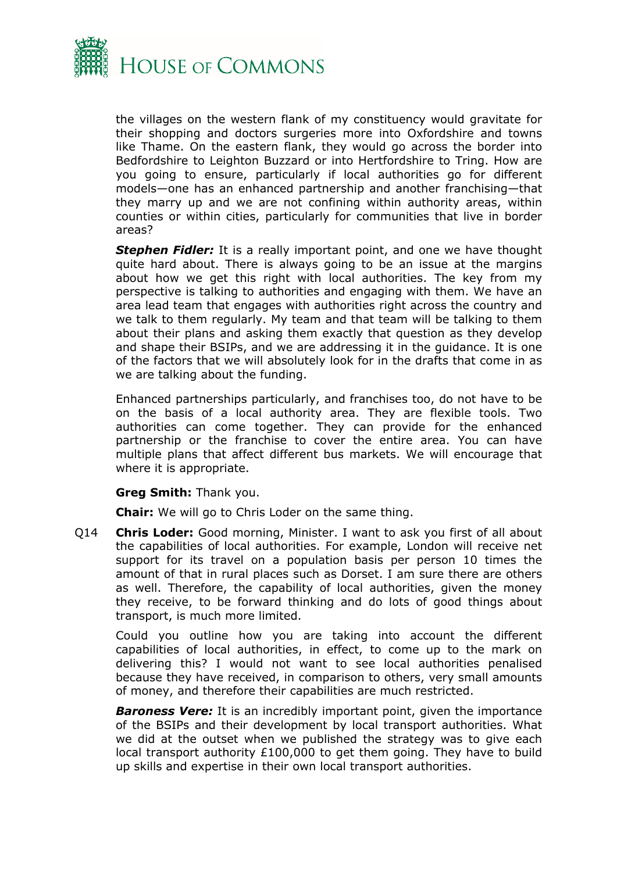

the villages on the western flank of my constituency would gravitate for their shopping and doctors surgeries more into Oxfordshire and towns like Thame. On the eastern flank, they would go across the border into Bedfordshire to Leighton Buzzard or into Hertfordshire to Tring. How are you going to ensure, particularly if local authorities go for different models—one has an enhanced partnership and another franchising—that they marry up and we are not confining within authority areas, within counties or within cities, particularly for communities that live in border areas?

**Stephen Fidler:** It is a really important point, and one we have thought quite hard about. There is always going to be an issue at the margins about how we get this right with local authorities. The key from my perspective is talking to authorities and engaging with them. We have an area lead team that engages with authorities right across the country and we talk to them regularly. My team and that team will be talking to them about their plans and asking them exactly that question as they develop and shape their BSIPs, and we are addressing it in the guidance. It is one of the factors that we will absolutely look for in the drafts that come in as we are talking about the funding.

Enhanced partnerships particularly, and franchises too, do not have to be on the basis of a local authority area. They are flexible tools. Two authorities can come together. They can provide for the enhanced partnership or the franchise to cover the entire area. You can have multiple plans that affect different bus markets. We will encourage that where it is appropriate.

#### **Greg Smith:** Thank you.

**Chair:** We will go to Chris Loder on the same thing.

Q14 **Chris Loder:** Good morning, Minister. I want to ask you first of all about the capabilities of local authorities. For example, London will receive net support for its travel on a population basis per person 10 times the amount of that in rural places such as Dorset. I am sure there are others as well. Therefore, the capability of local authorities, given the money they receive, to be forward thinking and do lots of good things about transport, is much more limited.

Could you outline how you are taking into account the different capabilities of local authorities, in effect, to come up to the mark on delivering this? I would not want to see local authorities penalised because they have received, in comparison to others, very small amounts of money, and therefore their capabilities are much restricted.

*Baroness Vere:* It is an incredibly important point, given the importance of the BSIPs and their development by local transport authorities. What we did at the outset when we published the strategy was to give each local transport authority £100,000 to get them going. They have to build up skills and expertise in their own local transport authorities.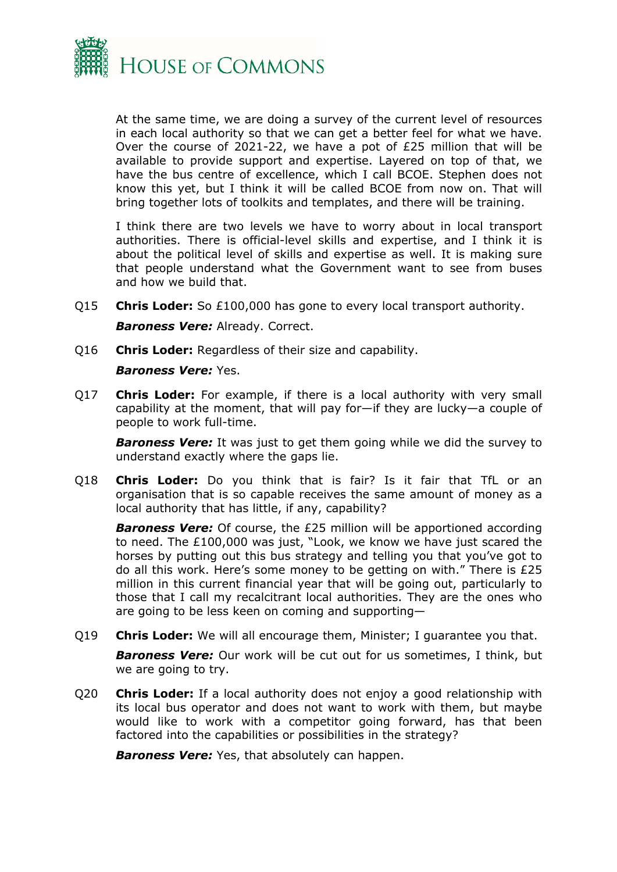

At the same time, we are doing a survey of the current level of resources in each local authority so that we can get a better feel for what we have. Over the course of 2021-22, we have a pot of £25 million that will be available to provide support and expertise. Layered on top of that, we have the bus centre of excellence, which I call BCOE. Stephen does not know this yet, but I think it will be called BCOE from now on. That will bring together lots of toolkits and templates, and there will be training.

I think there are two levels we have to worry about in local transport authorities. There is official-level skills and expertise, and I think it is about the political level of skills and expertise as well. It is making sure that people understand what the Government want to see from buses and how we build that.

- Q15 **Chris Loder:** So £100,000 has gone to every local transport authority. *Baroness Vere:* Already. Correct.
- Q16 **Chris Loder:** Regardless of their size and capability.

*Baroness Vere:* Yes.

Q17 **Chris Loder:** For example, if there is a local authority with very small capability at the moment, that will pay for—if they are lucky—a couple of people to work full-time.

**Baroness Vere:** It was just to get them going while we did the survey to understand exactly where the gaps lie.

Q18 **Chris Loder:** Do you think that is fair? Is it fair that TfL or an organisation that is so capable receives the same amount of money as a local authority that has little, if any, capability?

**Baroness Vere:** Of course, the £25 million will be apportioned according to need. The £100,000 was just, "Look, we know we have just scared the horses by putting out this bus strategy and telling you that you've got to do all this work. Here's some money to be getting on with." There is £25 million in this current financial year that will be going out, particularly to those that I call my recalcitrant local authorities. They are the ones who are going to be less keen on coming and supporting—

Q19 **Chris Loder:** We will all encourage them, Minister; I guarantee you that.

*Baroness Vere:* Our work will be cut out for us sometimes, I think, but we are going to try.

Q20 **Chris Loder:** If a local authority does not enjoy a good relationship with its local bus operator and does not want to work with them, but maybe would like to work with a competitor going forward, has that been factored into the capabilities or possibilities in the strategy?

*Baroness Vere:* Yes, that absolutely can happen.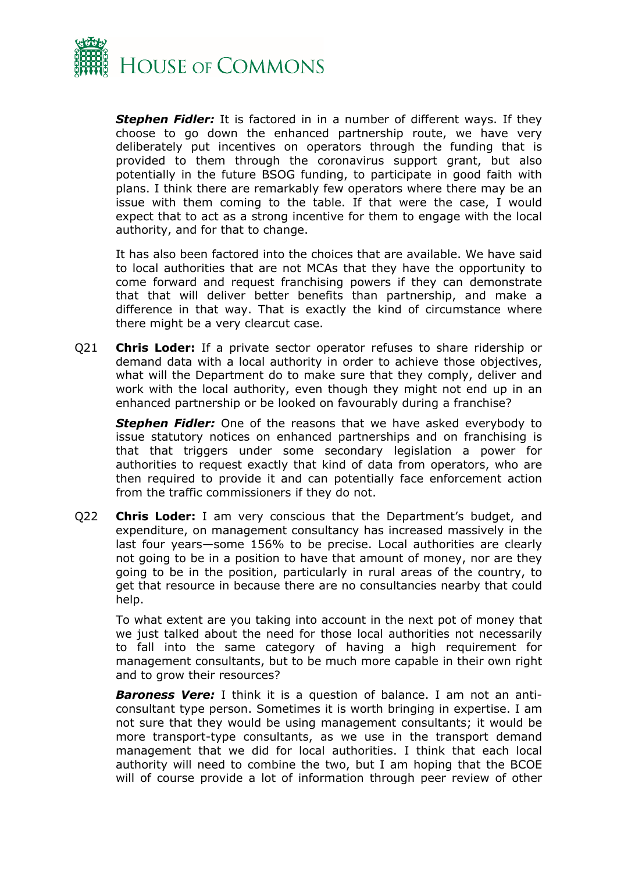

*Stephen Fidler:* It is factored in in a number of different ways. If they choose to go down the enhanced partnership route, we have very deliberately put incentives on operators through the funding that is provided to them through the coronavirus support grant, but also potentially in the future BSOG funding, to participate in good faith with plans. I think there are remarkably few operators where there may be an issue with them coming to the table. If that were the case, I would expect that to act as a strong incentive for them to engage with the local authority, and for that to change.

It has also been factored into the choices that are available. We have said to local authorities that are not MCAs that they have the opportunity to come forward and request franchising powers if they can demonstrate that that will deliver better benefits than partnership, and make a difference in that way. That is exactly the kind of circumstance where there might be a very clearcut case.

Q21 **Chris Loder:** If a private sector operator refuses to share ridership or demand data with a local authority in order to achieve those objectives, what will the Department do to make sure that they comply, deliver and work with the local authority, even though they might not end up in an enhanced partnership or be looked on favourably during a franchise?

*Stephen Fidler:* One of the reasons that we have asked everybody to issue statutory notices on enhanced partnerships and on franchising is that that triggers under some secondary legislation a power for authorities to request exactly that kind of data from operators, who are then required to provide it and can potentially face enforcement action from the traffic commissioners if they do not.

Q22 **Chris Loder:** I am very conscious that the Department's budget, and expenditure, on management consultancy has increased massively in the last four years—some 156% to be precise. Local authorities are clearly not going to be in a position to have that amount of money, nor are they going to be in the position, particularly in rural areas of the country, to get that resource in because there are no consultancies nearby that could help.

To what extent are you taking into account in the next pot of money that we just talked about the need for those local authorities not necessarily to fall into the same category of having a high requirement for management consultants, but to be much more capable in their own right and to grow their resources?

*Baroness Vere:* I think it is a question of balance. I am not an anticonsultant type person. Sometimes it is worth bringing in expertise. I am not sure that they would be using management consultants; it would be more transport-type consultants, as we use in the transport demand management that we did for local authorities. I think that each local authority will need to combine the two, but I am hoping that the BCOE will of course provide a lot of information through peer review of other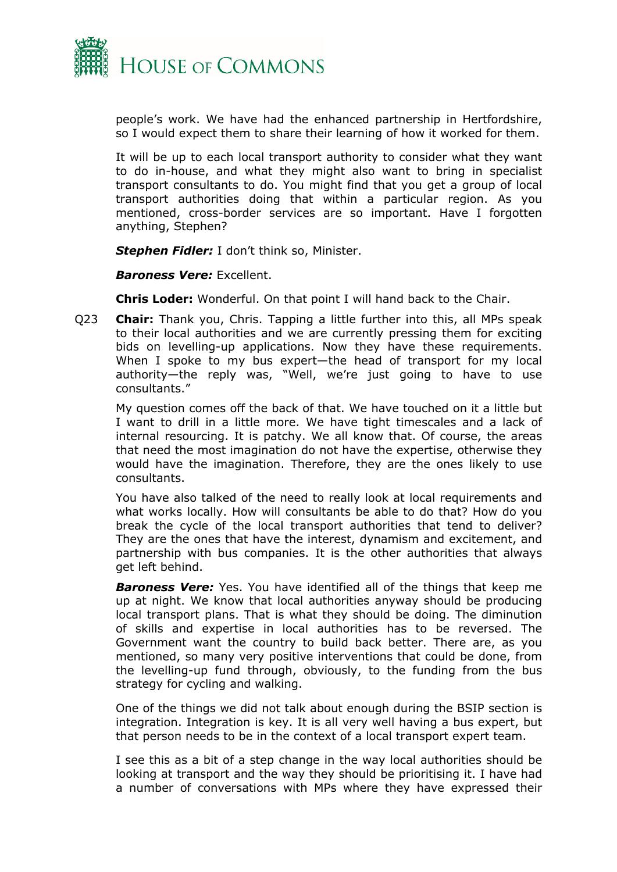

people's work. We have had the enhanced partnership in Hertfordshire, so I would expect them to share their learning of how it worked for them.

It will be up to each local transport authority to consider what they want to do in-house, and what they might also want to bring in specialist transport consultants to do. You might find that you get a group of local transport authorities doing that within a particular region. As you mentioned, cross-border services are so important. Have I forgotten anything, Stephen?

*Stephen Fidler:* I don't think so, Minister.

*Baroness Vere:* Excellent.

**Chris Loder:** Wonderful. On that point I will hand back to the Chair.

Q23 **Chair:** Thank you, Chris. Tapping a little further into this, all MPs speak to their local authorities and we are currently pressing them for exciting bids on levelling-up applications. Now they have these requirements. When I spoke to my bus expert—the head of transport for my local authority—the reply was, "Well, we're just going to have to use consultants."

My question comes off the back of that. We have touched on it a little but I want to drill in a little more. We have tight timescales and a lack of internal resourcing. It is patchy. We all know that. Of course, the areas that need the most imagination do not have the expertise, otherwise they would have the imagination. Therefore, they are the ones likely to use consultants.

You have also talked of the need to really look at local requirements and what works locally. How will consultants be able to do that? How do you break the cycle of the local transport authorities that tend to deliver? They are the ones that have the interest, dynamism and excitement, and partnership with bus companies. It is the other authorities that always get left behind.

*Baroness Vere:* Yes. You have identified all of the things that keep me up at night. We know that local authorities anyway should be producing local transport plans. That is what they should be doing. The diminution of skills and expertise in local authorities has to be reversed. The Government want the country to build back better. There are, as you mentioned, so many very positive interventions that could be done, from the levelling-up fund through, obviously, to the funding from the bus strategy for cycling and walking.

One of the things we did not talk about enough during the BSIP section is integration. Integration is key. It is all very well having a bus expert, but that person needs to be in the context of a local transport expert team.

I see this as a bit of a step change in the way local authorities should be looking at transport and the way they should be prioritising it. I have had a number of conversations with MPs where they have expressed their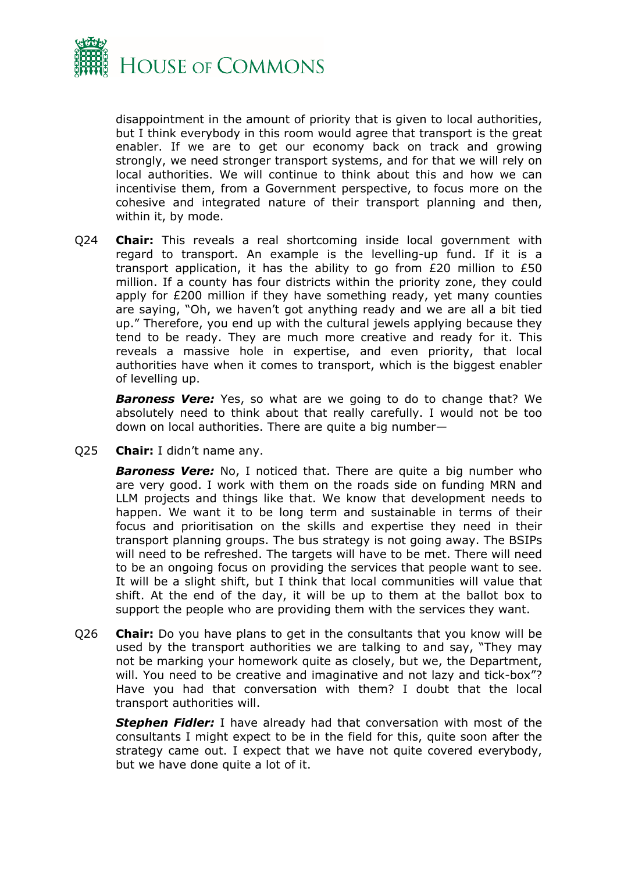

disappointment in the amount of priority that is given to local authorities, but I think everybody in this room would agree that transport is the great enabler. If we are to get our economy back on track and growing strongly, we need stronger transport systems, and for that we will rely on local authorities. We will continue to think about this and how we can incentivise them, from a Government perspective, to focus more on the cohesive and integrated nature of their transport planning and then, within it, by mode.

Q24 **Chair:** This reveals a real shortcoming inside local government with regard to transport. An example is the levelling-up fund. If it is a transport application, it has the ability to go from £20 million to £50 million. If a county has four districts within the priority zone, they could apply for £200 million if they have something ready, yet many counties are saying, "Oh, we haven't got anything ready and we are all a bit tied up." Therefore, you end up with the cultural jewels applying because they tend to be ready. They are much more creative and ready for it. This reveals a massive hole in expertise, and even priority, that local authorities have when it comes to transport, which is the biggest enabler of levelling up.

*Baroness Vere:* Yes, so what are we going to do to change that? We absolutely need to think about that really carefully. I would not be too down on local authorities. There are quite a big number—

Q25 **Chair:** I didn't name any.

*Baroness Vere:* No, I noticed that. There are quite a big number who are very good. I work with them on the roads side on funding MRN and LLM projects and things like that. We know that development needs to happen. We want it to be long term and sustainable in terms of their focus and prioritisation on the skills and expertise they need in their transport planning groups. The bus strategy is not going away. The BSIPs will need to be refreshed. The targets will have to be met. There will need to be an ongoing focus on providing the services that people want to see. It will be a slight shift, but I think that local communities will value that shift. At the end of the day, it will be up to them at the ballot box to support the people who are providing them with the services they want.

Q26 **Chair:** Do you have plans to get in the consultants that you know will be used by the transport authorities we are talking to and say, "They may not be marking your homework quite as closely, but we, the Department, will. You need to be creative and imaginative and not lazy and tick-box"? Have you had that conversation with them? I doubt that the local transport authorities will.

*Stephen Fidler:* I have already had that conversation with most of the consultants I might expect to be in the field for this, quite soon after the strategy came out. I expect that we have not quite covered everybody, but we have done quite a lot of it.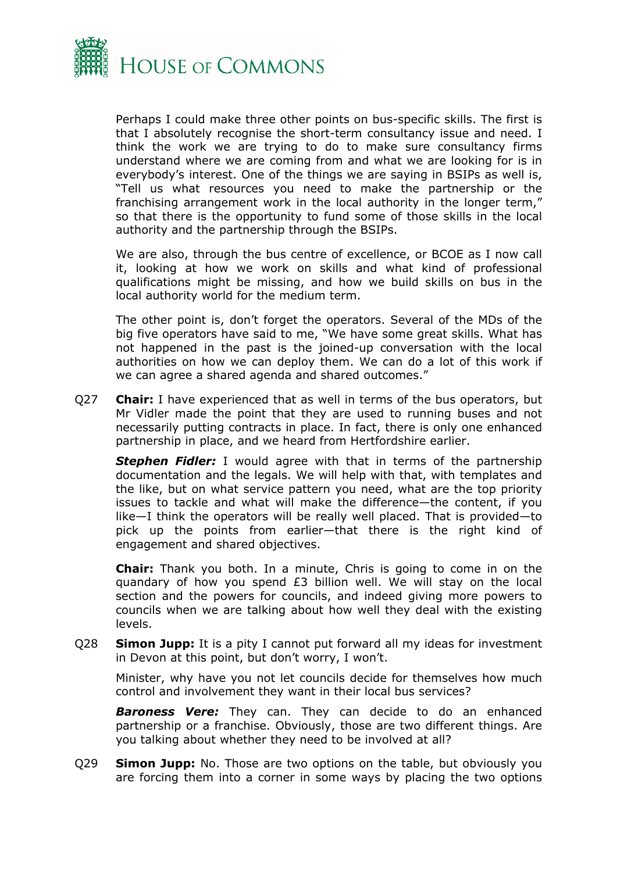

Perhaps I could make three other points on bus-specific skills. The first is that I absolutely recognise the short-term consultancy issue and need. I think the work we are trying to do to make sure consultancy firms understand where we are coming from and what we are looking for is in everybody's interest. One of the things we are saying in BSIPs as well is, "Tell us what resources you need to make the partnership or the franchising arrangement work in the local authority in the longer term," so that there is the opportunity to fund some of those skills in the local authority and the partnership through the BSIPs.

We are also, through the bus centre of excellence, or BCOE as I now call it, looking at how we work on skills and what kind of professional qualifications might be missing, and how we build skills on bus in the local authority world for the medium term.

The other point is, don't forget the operators. Several of the MDs of the big five operators have said to me, "We have some great skills. What has not happened in the past is the joined-up conversation with the local authorities on how we can deploy them. We can do a lot of this work if we can agree a shared agenda and shared outcomes."

Q27 **Chair:** I have experienced that as well in terms of the bus operators, but Mr Vidler made the point that they are used to running buses and not necessarily putting contracts in place. In fact, there is only one enhanced partnership in place, and we heard from Hertfordshire earlier.

*Stephen Fidler:* I would agree with that in terms of the partnership documentation and the legals. We will help with that, with templates and the like, but on what service pattern you need, what are the top priority issues to tackle and what will make the difference—the content, if you like—I think the operators will be really well placed. That is provided—to pick up the points from earlier—that there is the right kind of engagement and shared objectives.

**Chair:** Thank you both. In a minute, Chris is going to come in on the quandary of how you spend £3 billion well. We will stay on the local section and the powers for councils, and indeed giving more powers to councils when we are talking about how well they deal with the existing levels.

Q28 **Simon Jupp:** It is a pity I cannot put forward all my ideas for investment in Devon at this point, but don't worry, I won't.

Minister, why have you not let councils decide for themselves how much control and involvement they want in their local bus services?

*Baroness Vere:* They can. They can decide to do an enhanced partnership or a franchise. Obviously, those are two different things. Are you talking about whether they need to be involved at all?

Q29 **Simon Jupp:** No. Those are two options on the table, but obviously you are forcing them into a corner in some ways by placing the two options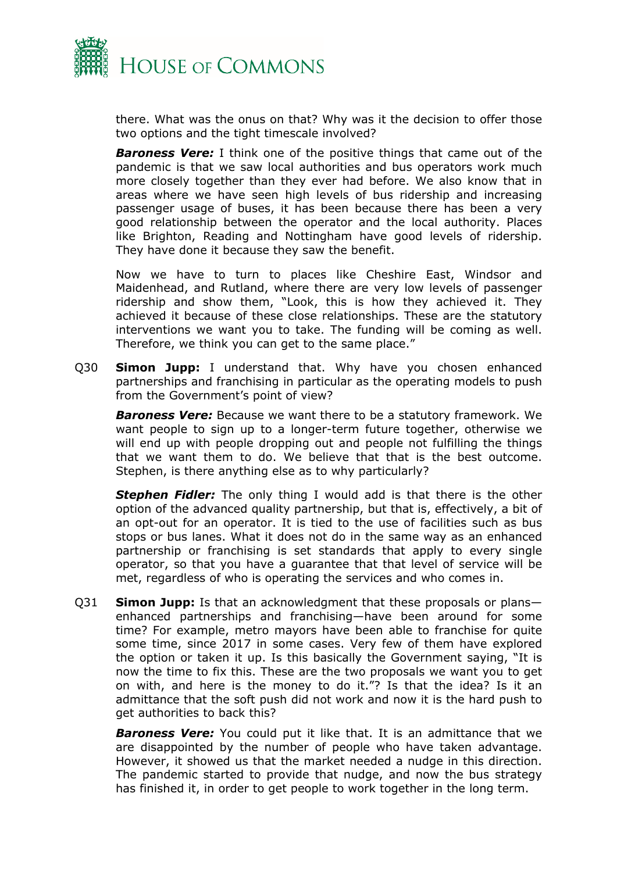

there. What was the onus on that? Why was it the decision to offer those two options and the tight timescale involved?

*Baroness Vere:* I think one of the positive things that came out of the pandemic is that we saw local authorities and bus operators work much more closely together than they ever had before. We also know that in areas where we have seen high levels of bus ridership and increasing passenger usage of buses, it has been because there has been a very good relationship between the operator and the local authority. Places like Brighton, Reading and Nottingham have good levels of ridership. They have done it because they saw the benefit.

Now we have to turn to places like Cheshire East, Windsor and Maidenhead, and Rutland, where there are very low levels of passenger ridership and show them, "Look, this is how they achieved it. They achieved it because of these close relationships. These are the statutory interventions we want you to take. The funding will be coming as well. Therefore, we think you can get to the same place."

Q30 **Simon Jupp:** I understand that. Why have you chosen enhanced partnerships and franchising in particular as the operating models to push from the Government's point of view?

*Baroness Vere:* Because we want there to be a statutory framework. We want people to sign up to a longer-term future together, otherwise we will end up with people dropping out and people not fulfilling the things that we want them to do. We believe that that is the best outcome. Stephen, is there anything else as to why particularly?

*Stephen Fidler:* The only thing I would add is that there is the other option of the advanced quality partnership, but that is, effectively, a bit of an opt-out for an operator. It is tied to the use of facilities such as bus stops or bus lanes. What it does not do in the same way as an enhanced partnership or franchising is set standards that apply to every single operator, so that you have a guarantee that that level of service will be met, regardless of who is operating the services and who comes in.

Q31 **Simon Jupp:** Is that an acknowledgment that these proposals or plans enhanced partnerships and franchising—have been around for some time? For example, metro mayors have been able to franchise for quite some time, since 2017 in some cases. Very few of them have explored the option or taken it up. Is this basically the Government saying, "It is now the time to fix this. These are the two proposals we want you to get on with, and here is the money to do it."? Is that the idea? Is it an admittance that the soft push did not work and now it is the hard push to get authorities to back this?

*Baroness Vere:* You could put it like that. It is an admittance that we are disappointed by the number of people who have taken advantage. However, it showed us that the market needed a nudge in this direction. The pandemic started to provide that nudge, and now the bus strategy has finished it, in order to get people to work together in the long term.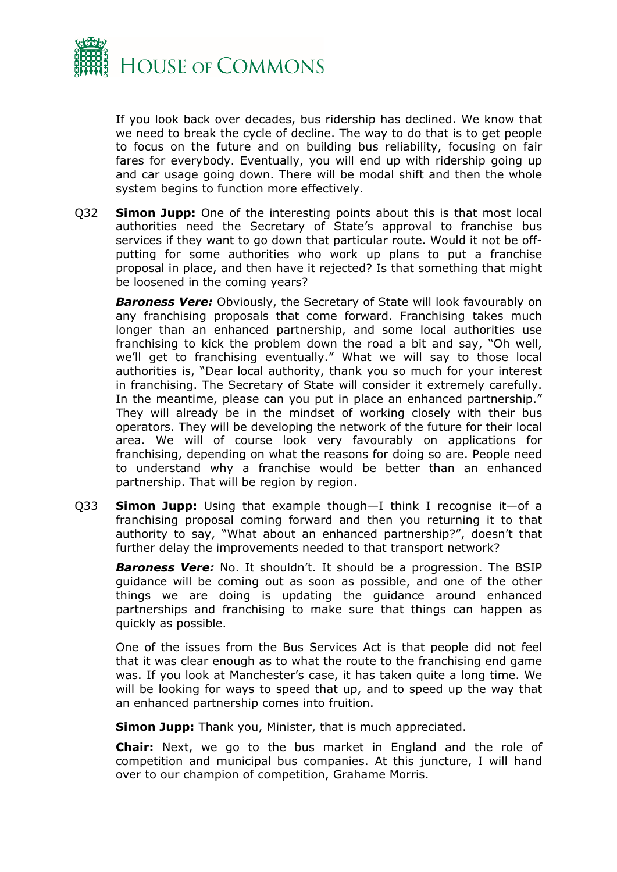

If you look back over decades, bus ridership has declined. We know that we need to break the cycle of decline. The way to do that is to get people to focus on the future and on building bus reliability, focusing on fair fares for everybody. Eventually, you will end up with ridership going up and car usage going down. There will be modal shift and then the whole system begins to function more effectively.

Q32 **Simon Jupp:** One of the interesting points about this is that most local authorities need the Secretary of State's approval to franchise bus services if they want to go down that particular route. Would it not be offputting for some authorities who work up plans to put a franchise proposal in place, and then have it rejected? Is that something that might be loosened in the coming years?

*Baroness Vere:* Obviously, the Secretary of State will look favourably on any franchising proposals that come forward. Franchising takes much longer than an enhanced partnership, and some local authorities use franchising to kick the problem down the road a bit and say, "Oh well, we'll get to franchising eventually." What we will say to those local authorities is, "Dear local authority, thank you so much for your interest in franchising. The Secretary of State will consider it extremely carefully. In the meantime, please can you put in place an enhanced partnership." They will already be in the mindset of working closely with their bus operators. They will be developing the network of the future for their local area. We will of course look very favourably on applications for franchising, depending on what the reasons for doing so are. People need to understand why a franchise would be better than an enhanced partnership. That will be region by region.

Q33 **Simon Jupp:** Using that example though—I think I recognise it—of a franchising proposal coming forward and then you returning it to that authority to say, "What about an enhanced partnership?", doesn't that further delay the improvements needed to that transport network?

*Baroness Vere:* No. It shouldn't. It should be a progression. The BSIP guidance will be coming out as soon as possible, and one of the other things we are doing is updating the guidance around enhanced partnerships and franchising to make sure that things can happen as quickly as possible.

One of the issues from the Bus Services Act is that people did not feel that it was clear enough as to what the route to the franchising end game was. If you look at Manchester's case, it has taken quite a long time. We will be looking for ways to speed that up, and to speed up the way that an enhanced partnership comes into fruition.

**Simon Jupp:** Thank you, Minister, that is much appreciated.

**Chair:** Next, we go to the bus market in England and the role of competition and municipal bus companies. At this juncture, I will hand over to our champion of competition, Grahame Morris.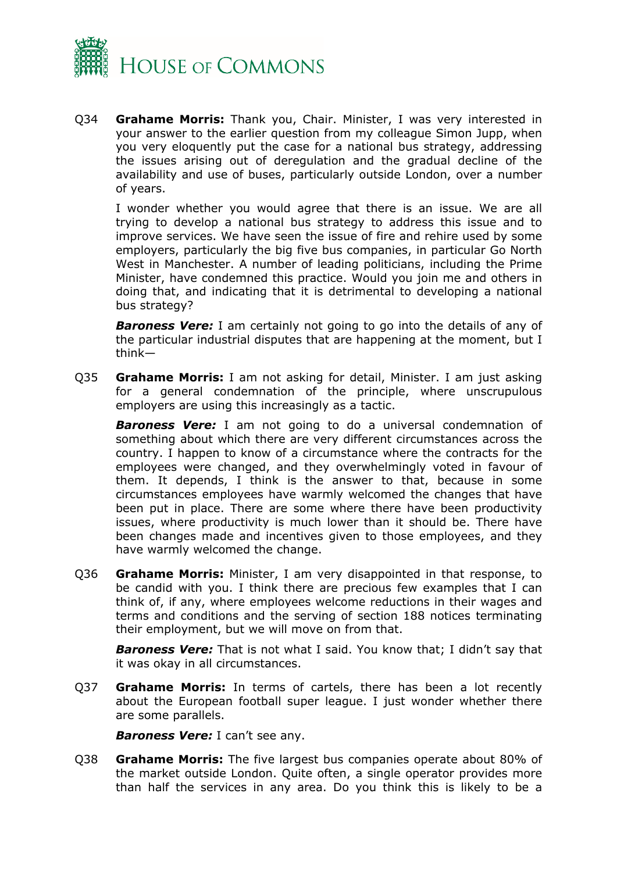

Q34 **Grahame Morris:** Thank you, Chair. Minister, I was very interested in your answer to the earlier question from my colleague Simon Jupp, when you very eloquently put the case for a national bus strategy, addressing the issues arising out of deregulation and the gradual decline of the availability and use of buses, particularly outside London, over a number of years.

I wonder whether you would agree that there is an issue. We are all trying to develop a national bus strategy to address this issue and to improve services. We have seen the issue of fire and rehire used by some employers, particularly the big five bus companies, in particular Go North West in Manchester. A number of leading politicians, including the Prime Minister, have condemned this practice. Would you join me and others in doing that, and indicating that it is detrimental to developing a national bus strategy?

**Baroness Vere:** I am certainly not going to go into the details of any of the particular industrial disputes that are happening at the moment, but I think—

Q35 **Grahame Morris:** I am not asking for detail, Minister. I am just asking for a general condemnation of the principle, where unscrupulous employers are using this increasingly as a tactic.

*Baroness Vere:* I am not going to do a universal condemnation of something about which there are very different circumstances across the country. I happen to know of a circumstance where the contracts for the employees were changed, and they overwhelmingly voted in favour of them. It depends, I think is the answer to that, because in some circumstances employees have warmly welcomed the changes that have been put in place. There are some where there have been productivity issues, where productivity is much lower than it should be. There have been changes made and incentives given to those employees, and they have warmly welcomed the change.

Q36 **Grahame Morris:** Minister, I am very disappointed in that response, to be candid with you. I think there are precious few examples that I can think of, if any, where employees welcome reductions in their wages and terms and conditions and the serving of section 188 notices terminating their employment, but we will move on from that.

*Baroness Vere:* That is not what I said. You know that; I didn't say that it was okay in all circumstances.

Q37 **Grahame Morris:** In terms of cartels, there has been a lot recently about the European football super league. I just wonder whether there are some parallels.

*Baroness Vere:* I can't see any.

Q38 **Grahame Morris:** The five largest bus companies operate about 80% of the market outside London. Quite often, a single operator provides more than half the services in any area. Do you think this is likely to be a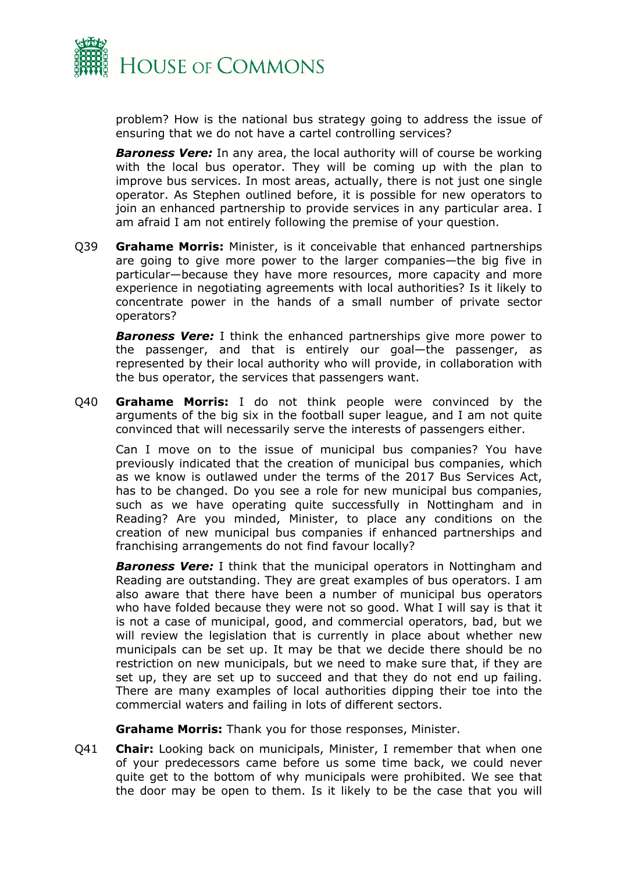

problem? How is the national bus strategy going to address the issue of ensuring that we do not have a cartel controlling services?

*Baroness Vere:* In any area, the local authority will of course be working with the local bus operator. They will be coming up with the plan to improve bus services. In most areas, actually, there is not just one single operator. As Stephen outlined before, it is possible for new operators to join an enhanced partnership to provide services in any particular area. I am afraid I am not entirely following the premise of your question.

Q39 **Grahame Morris:** Minister, is it conceivable that enhanced partnerships are going to give more power to the larger companies—the big five in particular—because they have more resources, more capacity and more experience in negotiating agreements with local authorities? Is it likely to concentrate power in the hands of a small number of private sector operators?

*Baroness Vere:* I think the enhanced partnerships give more power to the passenger, and that is entirely our goal—the passenger, as represented by their local authority who will provide, in collaboration with the bus operator, the services that passengers want.

Q40 **Grahame Morris:** I do not think people were convinced by the arguments of the big six in the football super league, and I am not quite convinced that will necessarily serve the interests of passengers either.

Can I move on to the issue of municipal bus companies? You have previously indicated that the creation of municipal bus companies, which as we know is outlawed under the terms of the 2017 Bus Services Act, has to be changed. Do you see a role for new municipal bus companies, such as we have operating quite successfully in Nottingham and in Reading? Are you minded, Minister, to place any conditions on the creation of new municipal bus companies if enhanced partnerships and franchising arrangements do not find favour locally?

*Baroness Vere:* I think that the municipal operators in Nottingham and Reading are outstanding. They are great examples of bus operators. I am also aware that there have been a number of municipal bus operators who have folded because they were not so good. What I will say is that it is not a case of municipal, good, and commercial operators, bad, but we will review the legislation that is currently in place about whether new municipals can be set up. It may be that we decide there should be no restriction on new municipals, but we need to make sure that, if they are set up, they are set up to succeed and that they do not end up failing. There are many examples of local authorities dipping their toe into the commercial waters and failing in lots of different sectors.

**Grahame Morris:** Thank you for those responses, Minister.

Q41 **Chair:** Looking back on municipals, Minister, I remember that when one of your predecessors came before us some time back, we could never quite get to the bottom of why municipals were prohibited. We see that the door may be open to them. Is it likely to be the case that you will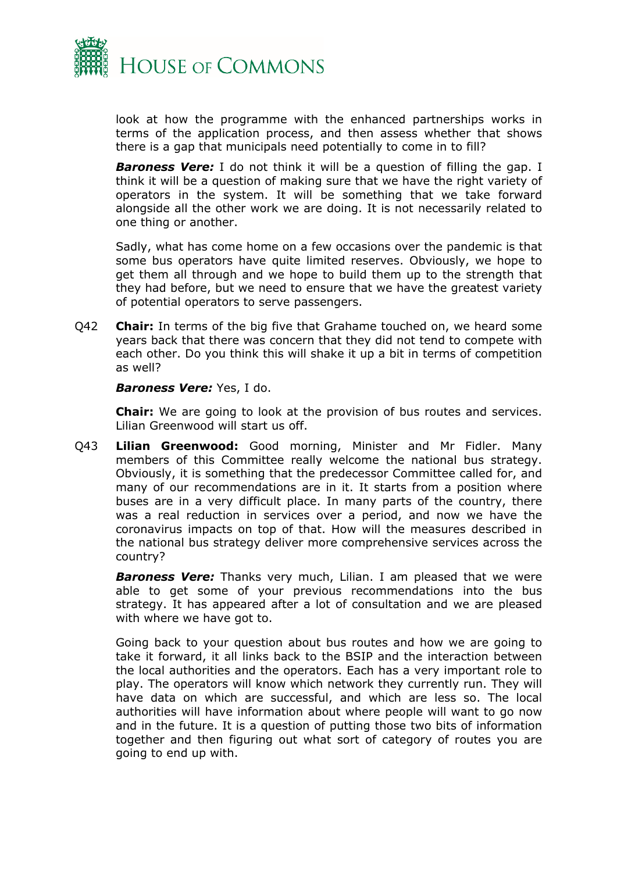

look at how the programme with the enhanced partnerships works in terms of the application process, and then assess whether that shows there is a gap that municipals need potentially to come in to fill?

**Baroness Vere:** I do not think it will be a question of filling the gap. I think it will be a question of making sure that we have the right variety of operators in the system. It will be something that we take forward alongside all the other work we are doing. It is not necessarily related to one thing or another.

Sadly, what has come home on a few occasions over the pandemic is that some bus operators have quite limited reserves. Obviously, we hope to get them all through and we hope to build them up to the strength that they had before, but we need to ensure that we have the greatest variety of potential operators to serve passengers.

Q42 **Chair:** In terms of the big five that Grahame touched on, we heard some years back that there was concern that they did not tend to compete with each other. Do you think this will shake it up a bit in terms of competition as well?

#### *Baroness Vere:* Yes, I do.

**Chair:** We are going to look at the provision of bus routes and services. Lilian Greenwood will start us off.

Q43 **Lilian Greenwood:** Good morning, Minister and Mr Fidler. Many members of this Committee really welcome the national bus strategy. Obviously, it is something that the predecessor Committee called for, and many of our recommendations are in it. It starts from a position where buses are in a very difficult place. In many parts of the country, there was a real reduction in services over a period, and now we have the coronavirus impacts on top of that. How will the measures described in the national bus strategy deliver more comprehensive services across the country?

*Baroness Vere:* Thanks very much, Lilian. I am pleased that we were able to get some of your previous recommendations into the bus strategy. It has appeared after a lot of consultation and we are pleased with where we have got to.

Going back to your question about bus routes and how we are going to take it forward, it all links back to the BSIP and the interaction between the local authorities and the operators. Each has a very important role to play. The operators will know which network they currently run. They will have data on which are successful, and which are less so. The local authorities will have information about where people will want to go now and in the future. It is a question of putting those two bits of information together and then figuring out what sort of category of routes you are going to end up with.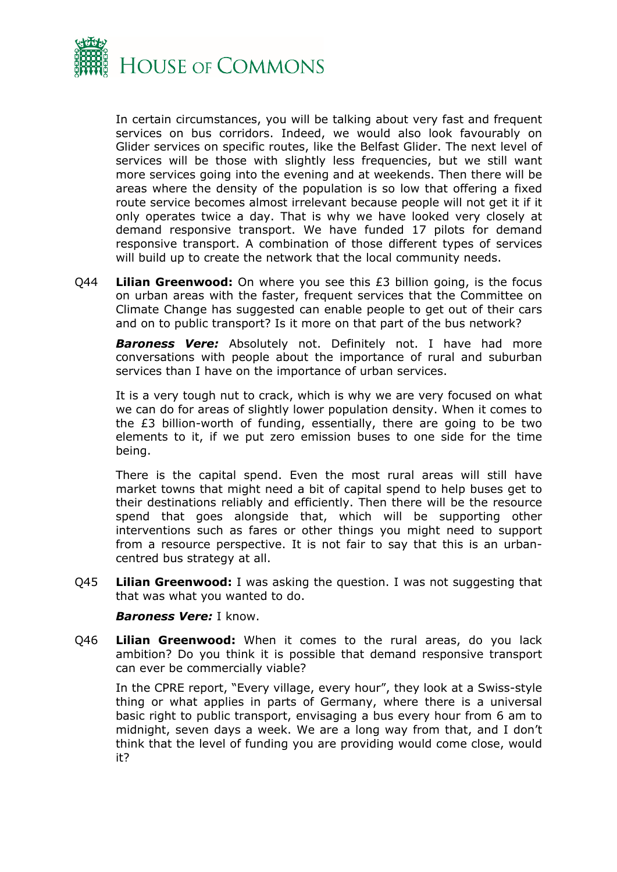

In certain circumstances, you will be talking about very fast and frequent services on bus corridors. Indeed, we would also look favourably on Glider services on specific routes, like the Belfast Glider. The next level of services will be those with slightly less frequencies, but we still want more services going into the evening and at weekends. Then there will be areas where the density of the population is so low that offering a fixed route service becomes almost irrelevant because people will not get it if it only operates twice a day. That is why we have looked very closely at demand responsive transport. We have funded 17 pilots for demand responsive transport. A combination of those different types of services will build up to create the network that the local community needs.

Q44 **Lilian Greenwood:** On where you see this £3 billion going, is the focus on urban areas with the faster, frequent services that the Committee on Climate Change has suggested can enable people to get out of their cars and on to public transport? Is it more on that part of the bus network?

*Baroness Vere:* Absolutely not. Definitely not. I have had more conversations with people about the importance of rural and suburban services than I have on the importance of urban services.

It is a very tough nut to crack, which is why we are very focused on what we can do for areas of slightly lower population density. When it comes to the £3 billion-worth of funding, essentially, there are going to be two elements to it, if we put zero emission buses to one side for the time being.

There is the capital spend. Even the most rural areas will still have market towns that might need a bit of capital spend to help buses get to their destinations reliably and efficiently. Then there will be the resource spend that goes alongside that, which will be supporting other interventions such as fares or other things you might need to support from a resource perspective. It is not fair to say that this is an urbancentred bus strategy at all.

Q45 **Lilian Greenwood:** I was asking the question. I was not suggesting that that was what you wanted to do.

#### *Baroness Vere:* I know.

Q46 **Lilian Greenwood:** When it comes to the rural areas, do you lack ambition? Do you think it is possible that demand responsive transport can ever be commercially viable?

In the CPRE report, "Every village, every hour", they look at a Swiss-style thing or what applies in parts of Germany, where there is a universal basic right to public transport, envisaging a bus every hour from 6 am to midnight, seven days a week. We are a long way from that, and I don't think that the level of funding you are providing would come close, would it?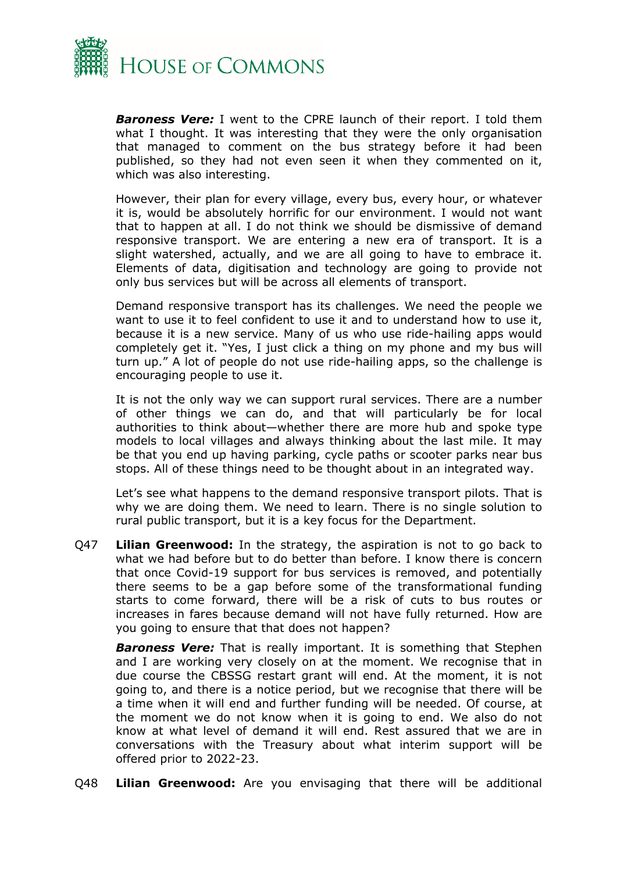

*Baroness Vere:* I went to the CPRE launch of their report. I told them what I thought. It was interesting that they were the only organisation that managed to comment on the bus strategy before it had been published, so they had not even seen it when they commented on it, which was also interesting.

However, their plan for every village, every bus, every hour, or whatever it is, would be absolutely horrific for our environment. I would not want that to happen at all. I do not think we should be dismissive of demand responsive transport. We are entering a new era of transport. It is a slight watershed, actually, and we are all going to have to embrace it. Elements of data, digitisation and technology are going to provide not only bus services but will be across all elements of transport.

Demand responsive transport has its challenges. We need the people we want to use it to feel confident to use it and to understand how to use it, because it is a new service. Many of us who use ride-hailing apps would completely get it. "Yes, I just click a thing on my phone and my bus will turn up." A lot of people do not use ride-hailing apps, so the challenge is encouraging people to use it.

It is not the only way we can support rural services. There are a number of other things we can do, and that will particularly be for local authorities to think about—whether there are more hub and spoke type models to local villages and always thinking about the last mile. It may be that you end up having parking, cycle paths or scooter parks near bus stops. All of these things need to be thought about in an integrated way.

Let's see what happens to the demand responsive transport pilots. That is why we are doing them. We need to learn. There is no single solution to rural public transport, but it is a key focus for the Department.

Q47 **Lilian Greenwood:** In the strategy, the aspiration is not to go back to what we had before but to do better than before. I know there is concern that once Covid-19 support for bus services is removed, and potentially there seems to be a gap before some of the transformational funding starts to come forward, there will be a risk of cuts to bus routes or increases in fares because demand will not have fully returned. How are you going to ensure that that does not happen?

*Baroness Vere:* That is really important. It is something that Stephen and I are working very closely on at the moment. We recognise that in due course the CBSSG restart grant will end. At the moment, it is not going to, and there is a notice period, but we recognise that there will be a time when it will end and further funding will be needed. Of course, at the moment we do not know when it is going to end. We also do not know at what level of demand it will end. Rest assured that we are in conversations with the Treasury about what interim support will be offered prior to 2022-23.

Q48 **Lilian Greenwood:** Are you envisaging that there will be additional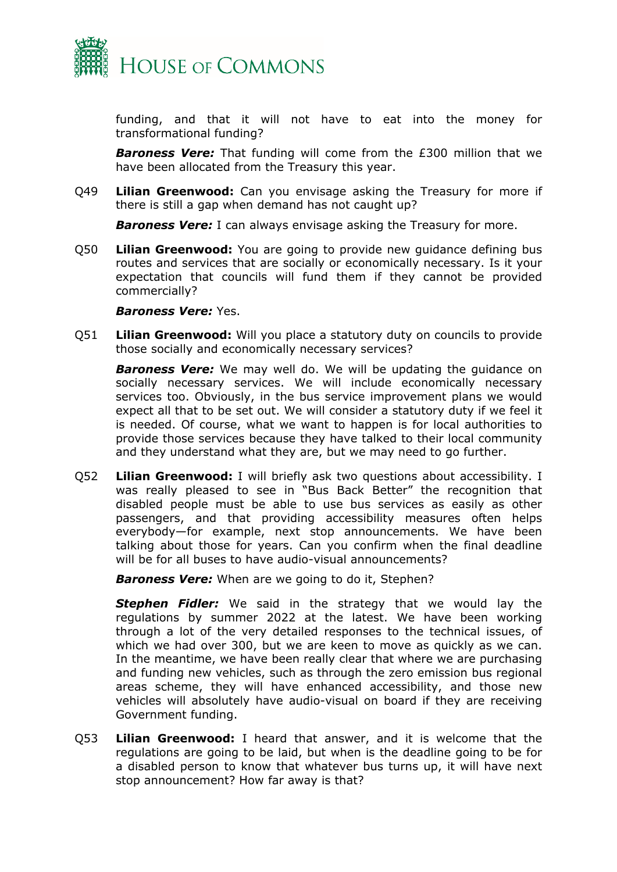

funding, and that it will not have to eat into the money for transformational funding?

*Baroness Vere:* That funding will come from the £300 million that we have been allocated from the Treasury this year.

Q49 **Lilian Greenwood:** Can you envisage asking the Treasury for more if there is still a gap when demand has not caught up?

**Baroness Vere:** I can always envisage asking the Treasury for more.

Q50 **Lilian Greenwood:** You are going to provide new guidance defining bus routes and services that are socially or economically necessary. Is it your expectation that councils will fund them if they cannot be provided commercially?

#### *Baroness Vere:* Yes.

Q51 **Lilian Greenwood:** Will you place a statutory duty on councils to provide those socially and economically necessary services?

*Baroness Vere:* We may well do. We will be updating the guidance on socially necessary services. We will include economically necessary services too. Obviously, in the bus service improvement plans we would expect all that to be set out. We will consider a statutory duty if we feel it is needed. Of course, what we want to happen is for local authorities to provide those services because they have talked to their local community and they understand what they are, but we may need to go further.

Q52 **Lilian Greenwood:** I will briefly ask two questions about accessibility. I was really pleased to see in "Bus Back Better" the recognition that disabled people must be able to use bus services as easily as other passengers, and that providing accessibility measures often helps everybody—for example, next stop announcements. We have been talking about those for years. Can you confirm when the final deadline will be for all buses to have audio-visual announcements?

*Baroness Vere:* When are we going to do it, Stephen?

*Stephen Fidler:* We said in the strategy that we would lay the regulations by summer 2022 at the latest. We have been working through a lot of the very detailed responses to the technical issues, of which we had over 300, but we are keen to move as quickly as we can. In the meantime, we have been really clear that where we are purchasing and funding new vehicles, such as through the zero emission bus regional areas scheme, they will have enhanced accessibility, and those new vehicles will absolutely have audio-visual on board if they are receiving Government funding.

Q53 **Lilian Greenwood:** I heard that answer, and it is welcome that the regulations are going to be laid, but when is the deadline going to be for a disabled person to know that whatever bus turns up, it will have next stop announcement? How far away is that?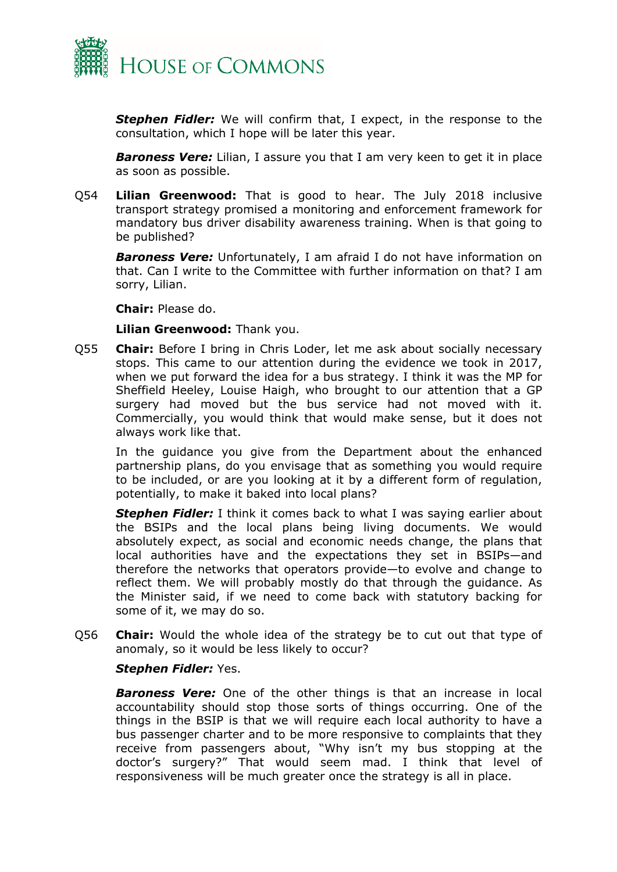

*Stephen Fidler:* We will confirm that, I expect, in the response to the consultation, which I hope will be later this year.

*Baroness Vere:* Lilian, I assure you that I am very keen to get it in place as soon as possible.

Q54 **Lilian Greenwood:** That is good to hear. The July 2018 inclusive transport strategy promised a monitoring and enforcement framework for mandatory bus driver disability awareness training. When is that going to be published?

*Baroness Vere:* Unfortunately, I am afraid I do not have information on that. Can I write to the Committee with further information on that? I am sorry, Lilian.

#### **Chair:** Please do.

**Lilian Greenwood:** Thank you.

Q55 **Chair:** Before I bring in Chris Loder, let me ask about socially necessary stops. This came to our attention during the evidence we took in 2017, when we put forward the idea for a bus strategy. I think it was the MP for Sheffield Heeley, Louise Haigh, who brought to our attention that a GP surgery had moved but the bus service had not moved with it. Commercially, you would think that would make sense, but it does not always work like that.

In the guidance you give from the Department about the enhanced partnership plans, do you envisage that as something you would require to be included, or are you looking at it by a different form of regulation, potentially, to make it baked into local plans?

*Stephen Fidler:* I think it comes back to what I was saying earlier about the BSIPs and the local plans being living documents. We would absolutely expect, as social and economic needs change, the plans that local authorities have and the expectations they set in BSIPs—and therefore the networks that operators provide—to evolve and change to reflect them. We will probably mostly do that through the guidance. As the Minister said, if we need to come back with statutory backing for some of it, we may do so.

Q56 **Chair:** Would the whole idea of the strategy be to cut out that type of anomaly, so it would be less likely to occur?

#### *Stephen Fidler:* Yes.

*Baroness Vere:* One of the other things is that an increase in local accountability should stop those sorts of things occurring. One of the things in the BSIP is that we will require each local authority to have a bus passenger charter and to be more responsive to complaints that they receive from passengers about, "Why isn't my bus stopping at the doctor's surgery?" That would seem mad. I think that level of responsiveness will be much greater once the strategy is all in place.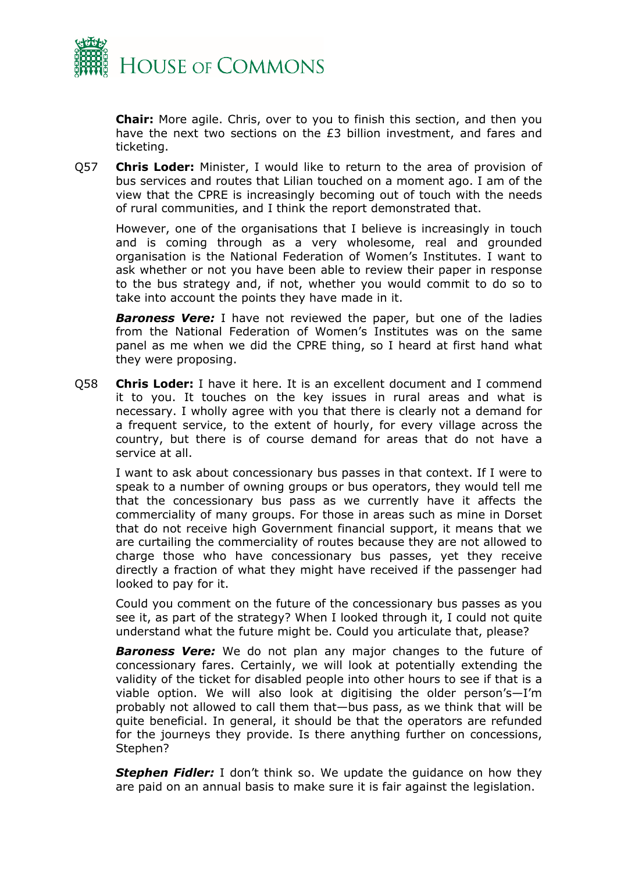

**Chair:** More agile. Chris, over to you to finish this section, and then you have the next two sections on the £3 billion investment, and fares and ticketing.

Q57 **Chris Loder:** Minister, I would like to return to the area of provision of bus services and routes that Lilian touched on a moment ago. I am of the view that the CPRE is increasingly becoming out of touch with the needs of rural communities, and I think the report demonstrated that.

However, one of the organisations that I believe is increasingly in touch and is coming through as a very wholesome, real and grounded organisation is the National Federation of Women's Institutes. I want to ask whether or not you have been able to review their paper in response to the bus strategy and, if not, whether you would commit to do so to take into account the points they have made in it.

*Baroness Vere:* I have not reviewed the paper, but one of the ladies from the National Federation of Women's Institutes was on the same panel as me when we did the CPRE thing, so I heard at first hand what they were proposing.

Q58 **Chris Loder:** I have it here. It is an excellent document and I commend it to you. It touches on the key issues in rural areas and what is necessary. I wholly agree with you that there is clearly not a demand for a frequent service, to the extent of hourly, for every village across the country, but there is of course demand for areas that do not have a service at all.

I want to ask about concessionary bus passes in that context. If I were to speak to a number of owning groups or bus operators, they would tell me that the concessionary bus pass as we currently have it affects the commerciality of many groups. For those in areas such as mine in Dorset that do not receive high Government financial support, it means that we are curtailing the commerciality of routes because they are not allowed to charge those who have concessionary bus passes, yet they receive directly a fraction of what they might have received if the passenger had looked to pay for it.

Could you comment on the future of the concessionary bus passes as you see it, as part of the strategy? When I looked through it, I could not quite understand what the future might be. Could you articulate that, please?

*Baroness Vere:* We do not plan any major changes to the future of concessionary fares. Certainly, we will look at potentially extending the validity of the ticket for disabled people into other hours to see if that is a viable option. We will also look at digitising the older person's—I'm probably not allowed to call them that—bus pass, as we think that will be quite beneficial. In general, it should be that the operators are refunded for the journeys they provide. Is there anything further on concessions, Stephen?

*Stephen Fidler:* I don't think so. We update the guidance on how they are paid on an annual basis to make sure it is fair against the legislation.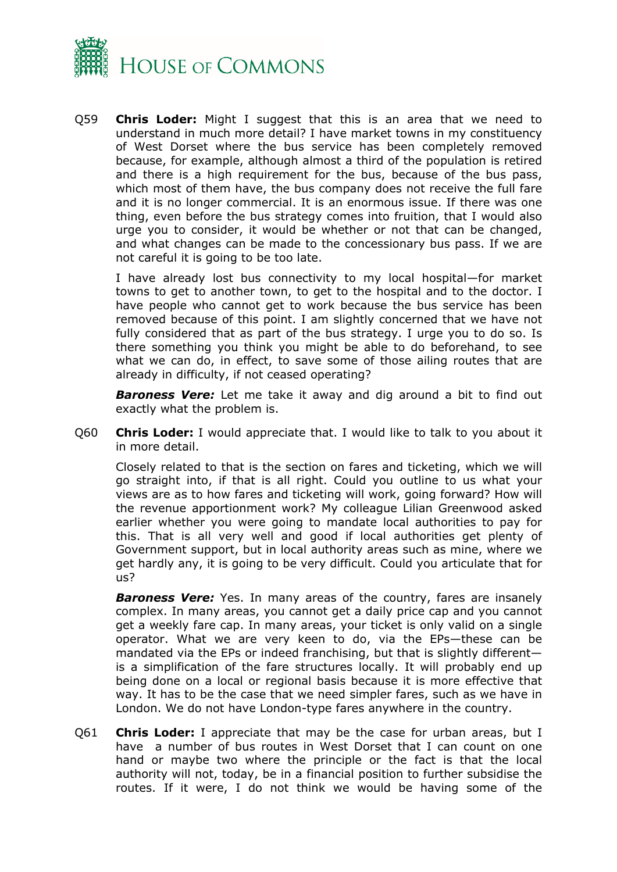

Q59 **Chris Loder:** Might I suggest that this is an area that we need to understand in much more detail? I have market towns in my constituency of West Dorset where the bus service has been completely removed because, for example, although almost a third of the population is retired and there is a high requirement for the bus, because of the bus pass, which most of them have, the bus company does not receive the full fare and it is no longer commercial. It is an enormous issue. If there was one thing, even before the bus strategy comes into fruition, that I would also urge you to consider, it would be whether or not that can be changed, and what changes can be made to the concessionary bus pass. If we are not careful it is going to be too late.

I have already lost bus connectivity to my local hospital—for market towns to get to another town, to get to the hospital and to the doctor. I have people who cannot get to work because the bus service has been removed because of this point. I am slightly concerned that we have not fully considered that as part of the bus strategy. I urge you to do so. Is there something you think you might be able to do beforehand, to see what we can do, in effect, to save some of those ailing routes that are already in difficulty, if not ceased operating?

*Baroness Vere:* Let me take it away and dig around a bit to find out exactly what the problem is.

Q60 **Chris Loder:** I would appreciate that. I would like to talk to you about it in more detail.

Closely related to that is the section on fares and ticketing, which we will go straight into, if that is all right. Could you outline to us what your views are as to how fares and ticketing will work, going forward? How will the revenue apportionment work? My colleague Lilian Greenwood asked earlier whether you were going to mandate local authorities to pay for this. That is all very well and good if local authorities get plenty of Government support, but in local authority areas such as mine, where we get hardly any, it is going to be very difficult. Could you articulate that for us?

*Baroness Vere:* Yes. In many areas of the country, fares are insanely complex. In many areas, you cannot get a daily price cap and you cannot get a weekly fare cap. In many areas, your ticket is only valid on a single operator. What we are very keen to do, via the EPs—these can be mandated via the EPs or indeed franchising, but that is slightly different is a simplification of the fare structures locally. It will probably end up being done on a local or regional basis because it is more effective that way. It has to be the case that we need simpler fares, such as we have in London. We do not have London-type fares anywhere in the country.

Q61 **Chris Loder:** I appreciate that may be the case for urban areas, but I have a number of bus routes in West Dorset that I can count on one hand or maybe two where the principle or the fact is that the local authority will not, today, be in a financial position to further subsidise the routes. If it were, I do not think we would be having some of the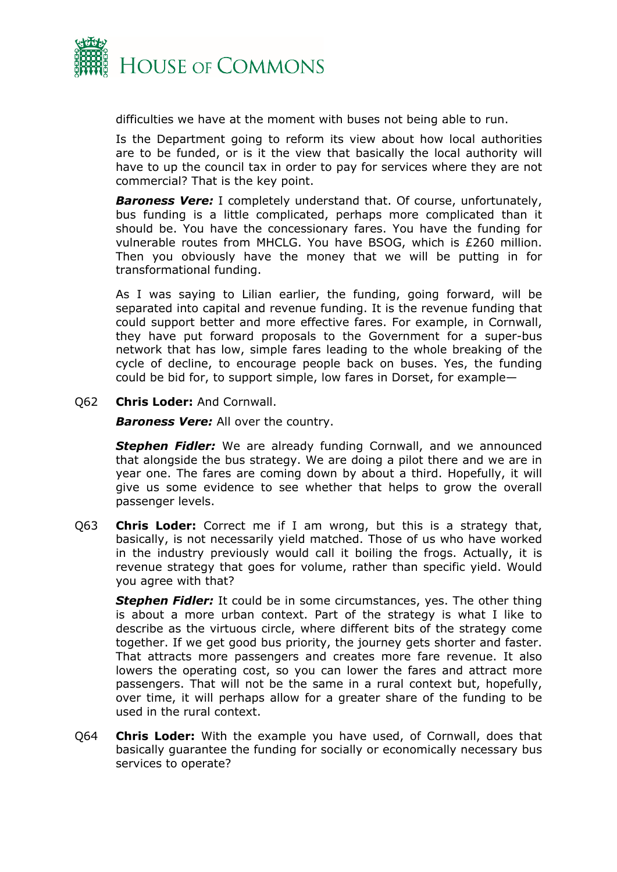

difficulties we have at the moment with buses not being able to run.

Is the Department going to reform its view about how local authorities are to be funded, or is it the view that basically the local authority will have to up the council tax in order to pay for services where they are not commercial? That is the key point.

*Baroness Vere:* I completely understand that. Of course, unfortunately, bus funding is a little complicated, perhaps more complicated than it should be. You have the concessionary fares. You have the funding for vulnerable routes from MHCLG. You have BSOG, which is £260 million. Then you obviously have the money that we will be putting in for transformational funding.

As I was saying to Lilian earlier, the funding, going forward, will be separated into capital and revenue funding. It is the revenue funding that could support better and more effective fares. For example, in Cornwall, they have put forward proposals to the Government for a super-bus network that has low, simple fares leading to the whole breaking of the cycle of decline, to encourage people back on buses. Yes, the funding could be bid for, to support simple, low fares in Dorset, for example—

Q62 **Chris Loder:** And Cornwall.

*Baroness Vere:* All over the country.

**Stephen Fidler:** We are already funding Cornwall, and we announced that alongside the bus strategy. We are doing a pilot there and we are in year one. The fares are coming down by about a third. Hopefully, it will give us some evidence to see whether that helps to grow the overall passenger levels.

Q63 **Chris Loder:** Correct me if I am wrong, but this is a strategy that, basically, is not necessarily yield matched. Those of us who have worked in the industry previously would call it boiling the frogs. Actually, it is revenue strategy that goes for volume, rather than specific yield. Would you agree with that?

*Stephen Fidler:* It could be in some circumstances, yes. The other thing is about a more urban context. Part of the strategy is what I like to describe as the virtuous circle, where different bits of the strategy come together. If we get good bus priority, the journey gets shorter and faster. That attracts more passengers and creates more fare revenue. It also lowers the operating cost, so you can lower the fares and attract more passengers. That will not be the same in a rural context but, hopefully, over time, it will perhaps allow for a greater share of the funding to be used in the rural context.

Q64 **Chris Loder:** With the example you have used, of Cornwall, does that basically guarantee the funding for socially or economically necessary bus services to operate?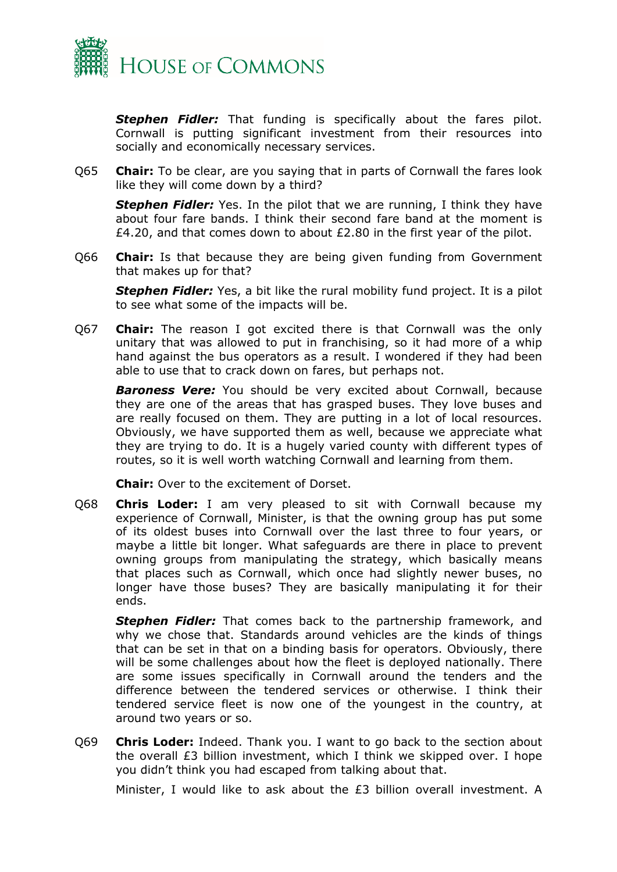

**Stephen Fidler:** That funding is specifically about the fares pilot. Cornwall is putting significant investment from their resources into socially and economically necessary services.

Q65 **Chair:** To be clear, are you saying that in parts of Cornwall the fares look like they will come down by a third?

**Stephen Fidler:** Yes. In the pilot that we are running, I think they have about four fare bands. I think their second fare band at the moment is £4.20, and that comes down to about  $£2.80$  in the first year of the pilot.

Q66 **Chair:** Is that because they are being given funding from Government that makes up for that?

**Stephen Fidler:** Yes, a bit like the rural mobility fund project. It is a pilot to see what some of the impacts will be.

Q67 **Chair:** The reason I got excited there is that Cornwall was the only unitary that was allowed to put in franchising, so it had more of a whip hand against the bus operators as a result. I wondered if they had been able to use that to crack down on fares, but perhaps not.

*Baroness Vere:* You should be very excited about Cornwall, because they are one of the areas that has grasped buses. They love buses and are really focused on them. They are putting in a lot of local resources. Obviously, we have supported them as well, because we appreciate what they are trying to do. It is a hugely varied county with different types of routes, so it is well worth watching Cornwall and learning from them.

**Chair:** Over to the excitement of Dorset.

Q68 **Chris Loder:** I am very pleased to sit with Cornwall because my experience of Cornwall, Minister, is that the owning group has put some of its oldest buses into Cornwall over the last three to four years, or maybe a little bit longer. What safeguards are there in place to prevent owning groups from manipulating the strategy, which basically means that places such as Cornwall, which once had slightly newer buses, no longer have those buses? They are basically manipulating it for their ends.

*Stephen Fidler:* That comes back to the partnership framework, and why we chose that. Standards around vehicles are the kinds of things that can be set in that on a binding basis for operators. Obviously, there will be some challenges about how the fleet is deployed nationally. There are some issues specifically in Cornwall around the tenders and the difference between the tendered services or otherwise. I think their tendered service fleet is now one of the youngest in the country, at around two years or so.

Q69 **Chris Loder:** Indeed. Thank you. I want to go back to the section about the overall £3 billion investment, which I think we skipped over. I hope you didn't think you had escaped from talking about that.

Minister, I would like to ask about the £3 billion overall investment. A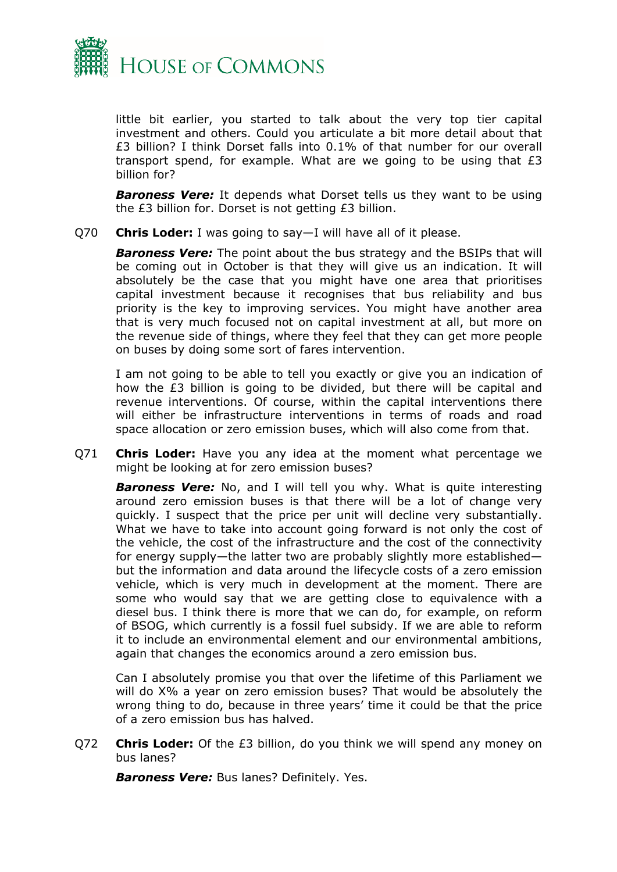

little bit earlier, you started to talk about the very top tier capital investment and others. Could you articulate a bit more detail about that £3 billion? I think Dorset falls into 0.1% of that number for our overall transport spend, for example. What are we going to be using that £3 billion for?

**Baroness Vere:** It depends what Dorset tells us they want to be using the £3 billion for. Dorset is not getting £3 billion.

Q70 **Chris Loder:** I was going to say—I will have all of it please.

*Baroness Vere:* The point about the bus strategy and the BSIPs that will be coming out in October is that they will give us an indication. It will absolutely be the case that you might have one area that prioritises capital investment because it recognises that bus reliability and bus priority is the key to improving services. You might have another area that is very much focused not on capital investment at all, but more on the revenue side of things, where they feel that they can get more people on buses by doing some sort of fares intervention.

I am not going to be able to tell you exactly or give you an indication of how the £3 billion is going to be divided, but there will be capital and revenue interventions. Of course, within the capital interventions there will either be infrastructure interventions in terms of roads and road space allocation or zero emission buses, which will also come from that.

Q71 **Chris Loder:** Have you any idea at the moment what percentage we might be looking at for zero emission buses?

**Baroness Vere:** No, and I will tell you why. What is quite interesting around zero emission buses is that there will be a lot of change very quickly. I suspect that the price per unit will decline very substantially. What we have to take into account going forward is not only the cost of the vehicle, the cost of the infrastructure and the cost of the connectivity for energy supply—the latter two are probably slightly more established but the information and data around the lifecycle costs of a zero emission vehicle, which is very much in development at the moment. There are some who would say that we are getting close to equivalence with a diesel bus. I think there is more that we can do, for example, on reform of BSOG, which currently is a fossil fuel subsidy. If we are able to reform it to include an environmental element and our environmental ambitions, again that changes the economics around a zero emission bus.

Can I absolutely promise you that over the lifetime of this Parliament we will do X% a year on zero emission buses? That would be absolutely the wrong thing to do, because in three years' time it could be that the price of a zero emission bus has halved.

Q72 **Chris Loder:** Of the £3 billion, do you think we will spend any money on bus lanes?

*Baroness Vere:* Bus lanes? Definitely. Yes.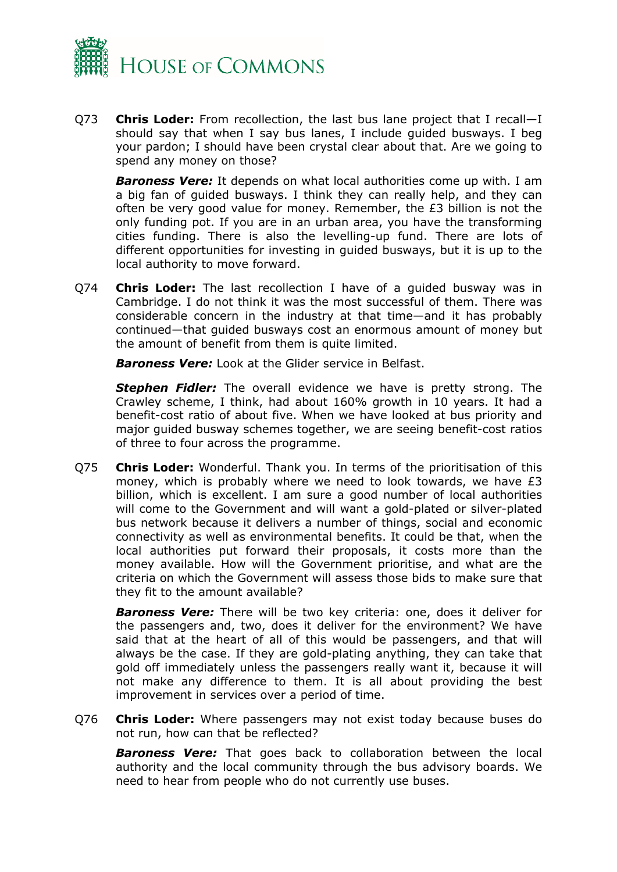

Q73 **Chris Loder:** From recollection, the last bus lane project that I recall—I should say that when I say bus lanes, I include guided busways. I beg your pardon; I should have been crystal clear about that. Are we going to spend any money on those?

*Baroness Vere:* It depends on what local authorities come up with. I am a big fan of guided busways. I think they can really help, and they can often be very good value for money. Remember, the £3 billion is not the only funding pot. If you are in an urban area, you have the transforming cities funding. There is also the levelling-up fund. There are lots of different opportunities for investing in guided busways, but it is up to the local authority to move forward.

Q74 **Chris Loder:** The last recollection I have of a guided busway was in Cambridge. I do not think it was the most successful of them. There was considerable concern in the industry at that time—and it has probably continued—that guided busways cost an enormous amount of money but the amount of benefit from them is quite limited.

*Baroness Vere:* Look at the Glider service in Belfast.

*Stephen Fidler:* The overall evidence we have is pretty strong. The Crawley scheme, I think, had about 160% growth in 10 years. It had a benefit-cost ratio of about five. When we have looked at bus priority and major guided busway schemes together, we are seeing benefit-cost ratios of three to four across the programme.

Q75 **Chris Loder:** Wonderful. Thank you. In terms of the prioritisation of this money, which is probably where we need to look towards, we have £3 billion, which is excellent. I am sure a good number of local authorities will come to the Government and will want a gold-plated or silver-plated bus network because it delivers a number of things, social and economic connectivity as well as environmental benefits. It could be that, when the local authorities put forward their proposals, it costs more than the money available. How will the Government prioritise, and what are the criteria on which the Government will assess those bids to make sure that they fit to the amount available?

*Baroness Vere:* There will be two key criteria: one, does it deliver for the passengers and, two, does it deliver for the environment? We have said that at the heart of all of this would be passengers, and that will always be the case. If they are gold-plating anything, they can take that gold off immediately unless the passengers really want it, because it will not make any difference to them. It is all about providing the best improvement in services over a period of time.

Q76 **Chris Loder:** Where passengers may not exist today because buses do not run, how can that be reflected?

*Baroness Vere:* That goes back to collaboration between the local authority and the local community through the bus advisory boards. We need to hear from people who do not currently use buses.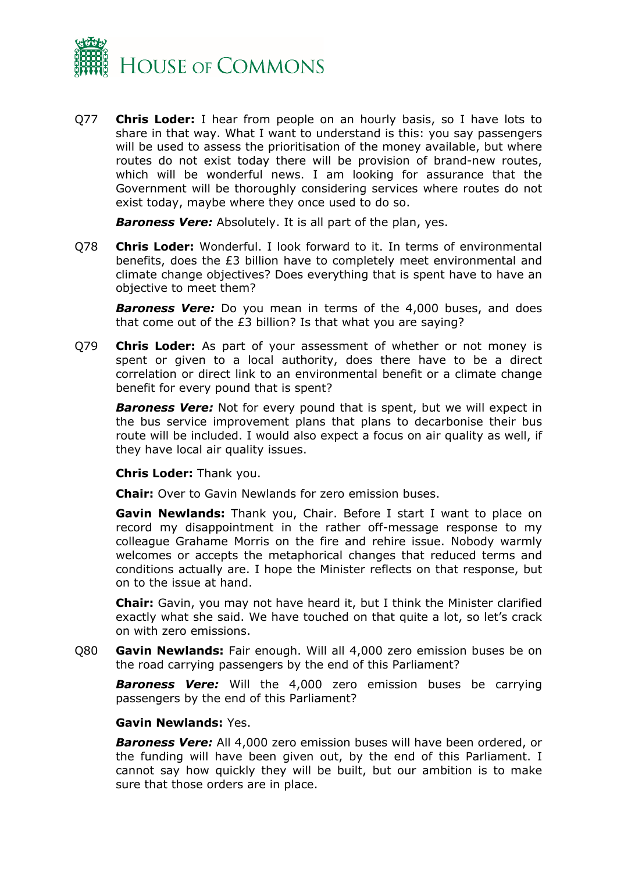

Q77 **Chris Loder:** I hear from people on an hourly basis, so I have lots to share in that way. What I want to understand is this: you say passengers will be used to assess the prioritisation of the money available, but where routes do not exist today there will be provision of brand-new routes, which will be wonderful news. I am looking for assurance that the Government will be thoroughly considering services where routes do not exist today, maybe where they once used to do so.

*Baroness Vere:* Absolutely. It is all part of the plan, yes.

Q78 **Chris Loder:** Wonderful. I look forward to it. In terms of environmental benefits, does the £3 billion have to completely meet environmental and climate change objectives? Does everything that is spent have to have an objective to meet them?

*Baroness Vere:* Do you mean in terms of the 4,000 buses, and does that come out of the £3 billion? Is that what you are saying?

Q79 **Chris Loder:** As part of your assessment of whether or not money is spent or given to a local authority, does there have to be a direct correlation or direct link to an environmental benefit or a climate change benefit for every pound that is spent?

*Baroness Vere:* Not for every pound that is spent, but we will expect in the bus service improvement plans that plans to decarbonise their bus route will be included. I would also expect a focus on air quality as well, if they have local air quality issues.

**Chris Loder:** Thank you.

**Chair:** Over to Gavin Newlands for zero emission buses.

**Gavin Newlands:** Thank you, Chair. Before I start I want to place on record my disappointment in the rather off-message response to my colleague Grahame Morris on the fire and rehire issue. Nobody warmly welcomes or accepts the metaphorical changes that reduced terms and conditions actually are. I hope the Minister reflects on that response, but on to the issue at hand.

**Chair:** Gavin, you may not have heard it, but I think the Minister clarified exactly what she said. We have touched on that quite a lot, so let's crack on with zero emissions.

Q80 **Gavin Newlands:** Fair enough. Will all 4,000 zero emission buses be on the road carrying passengers by the end of this Parliament?

*Baroness Vere:* Will the 4,000 zero emission buses be carrying passengers by the end of this Parliament?

#### **Gavin Newlands:** Yes.

*Baroness Vere:* All 4,000 zero emission buses will have been ordered, or the funding will have been given out, by the end of this Parliament. I cannot say how quickly they will be built, but our ambition is to make sure that those orders are in place.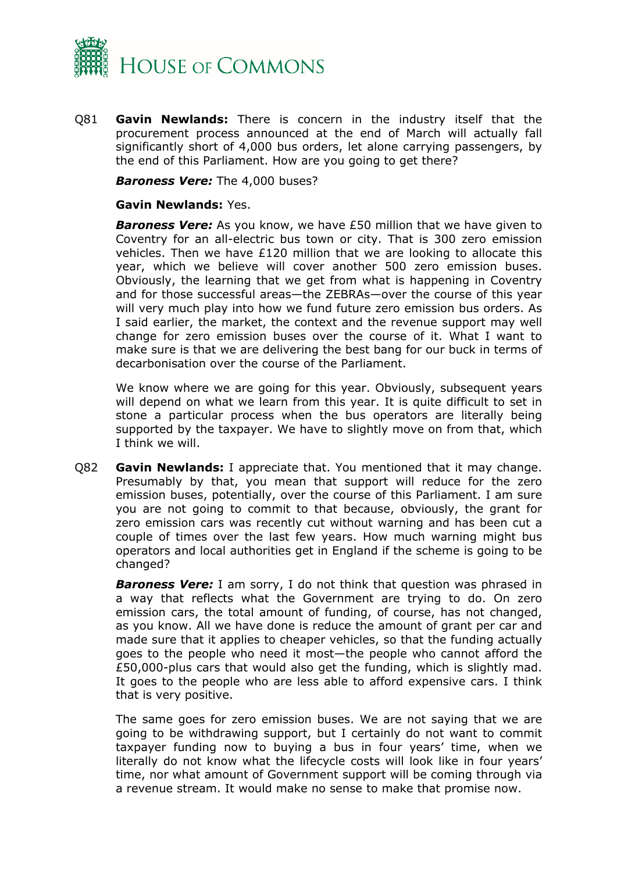

Q81 **Gavin Newlands:** There is concern in the industry itself that the procurement process announced at the end of March will actually fall significantly short of 4,000 bus orders, let alone carrying passengers, by the end of this Parliament. How are you going to get there?

*Baroness Vere:* The 4,000 buses?

#### **Gavin Newlands:** Yes.

*Baroness Vere:* As you know, we have £50 million that we have given to Coventry for an all-electric bus town or city. That is 300 zero emission vehicles. Then we have £120 million that we are looking to allocate this year, which we believe will cover another 500 zero emission buses. Obviously, the learning that we get from what is happening in Coventry and for those successful areas—the ZEBRAs—over the course of this year will very much play into how we fund future zero emission bus orders. As I said earlier, the market, the context and the revenue support may well change for zero emission buses over the course of it. What I want to make sure is that we are delivering the best bang for our buck in terms of decarbonisation over the course of the Parliament.

We know where we are going for this year. Obviously, subsequent years will depend on what we learn from this year. It is quite difficult to set in stone a particular process when the bus operators are literally being supported by the taxpayer. We have to slightly move on from that, which I think we will.

Q82 **Gavin Newlands:** I appreciate that. You mentioned that it may change. Presumably by that, you mean that support will reduce for the zero emission buses, potentially, over the course of this Parliament. I am sure you are not going to commit to that because, obviously, the grant for zero emission cars was recently cut without warning and has been cut a couple of times over the last few years. How much warning might bus operators and local authorities get in England if the scheme is going to be changed?

*Baroness Vere:* I am sorry, I do not think that question was phrased in a way that reflects what the Government are trying to do. On zero emission cars, the total amount of funding, of course, has not changed, as you know. All we have done is reduce the amount of grant per car and made sure that it applies to cheaper vehicles, so that the funding actually goes to the people who need it most—the people who cannot afford the £50,000-plus cars that would also get the funding, which is slightly mad. It goes to the people who are less able to afford expensive cars. I think that is very positive.

The same goes for zero emission buses. We are not saying that we are going to be withdrawing support, but I certainly do not want to commit taxpayer funding now to buying a bus in four years' time, when we literally do not know what the lifecycle costs will look like in four years' time, nor what amount of Government support will be coming through via a revenue stream. It would make no sense to make that promise now.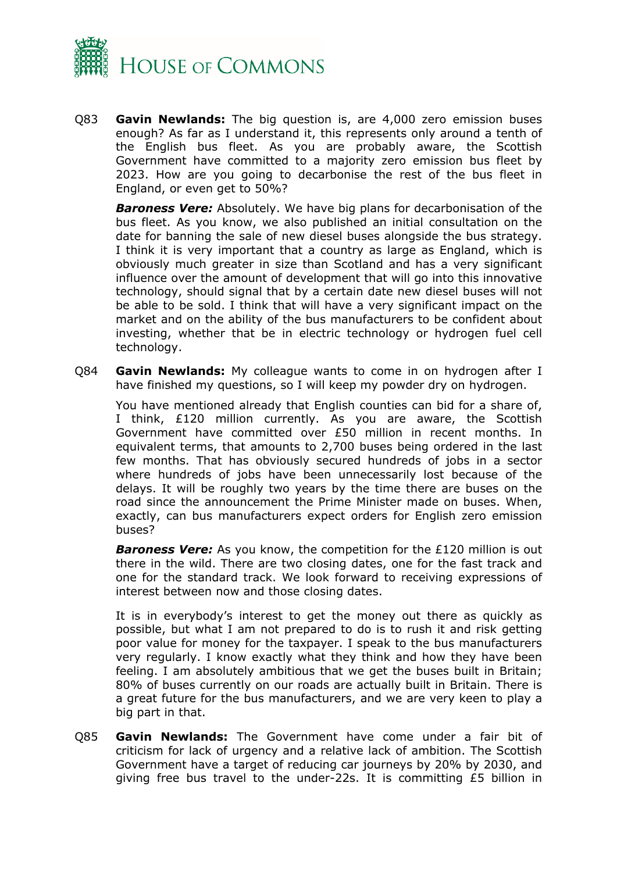

Q83 **Gavin Newlands:** The big question is, are 4,000 zero emission buses enough? As far as I understand it, this represents only around a tenth of the English bus fleet. As you are probably aware, the Scottish Government have committed to a majority zero emission bus fleet by 2023. How are you going to decarbonise the rest of the bus fleet in England, or even get to 50%?

*Baroness Vere:* Absolutely. We have big plans for decarbonisation of the bus fleet. As you know, we also published an initial consultation on the date for banning the sale of new diesel buses alongside the bus strategy. I think it is very important that a country as large as England, which is obviously much greater in size than Scotland and has a very significant influence over the amount of development that will go into this innovative technology, should signal that by a certain date new diesel buses will not be able to be sold. I think that will have a very significant impact on the market and on the ability of the bus manufacturers to be confident about investing, whether that be in electric technology or hydrogen fuel cell technology.

Q84 **Gavin Newlands:** My colleague wants to come in on hydrogen after I have finished my questions, so I will keep my powder dry on hydrogen.

You have mentioned already that English counties can bid for a share of, I think, £120 million currently. As you are aware, the Scottish Government have committed over £50 million in recent months. In equivalent terms, that amounts to 2,700 buses being ordered in the last few months. That has obviously secured hundreds of jobs in a sector where hundreds of jobs have been unnecessarily lost because of the delays. It will be roughly two years by the time there are buses on the road since the announcement the Prime Minister made on buses. When, exactly, can bus manufacturers expect orders for English zero emission buses?

*Baroness Vere:* As you know, the competition for the £120 million is out there in the wild. There are two closing dates, one for the fast track and one for the standard track. We look forward to receiving expressions of interest between now and those closing dates.

It is in everybody's interest to get the money out there as quickly as possible, but what I am not prepared to do is to rush it and risk getting poor value for money for the taxpayer. I speak to the bus manufacturers very regularly. I know exactly what they think and how they have been feeling. I am absolutely ambitious that we get the buses built in Britain; 80% of buses currently on our roads are actually built in Britain. There is a great future for the bus manufacturers, and we are very keen to play a big part in that.

Q85 **Gavin Newlands:** The Government have come under a fair bit of criticism for lack of urgency and a relative lack of ambition. The Scottish Government have a target of reducing car journeys by 20% by 2030, and giving free bus travel to the under-22s. It is committing £5 billion in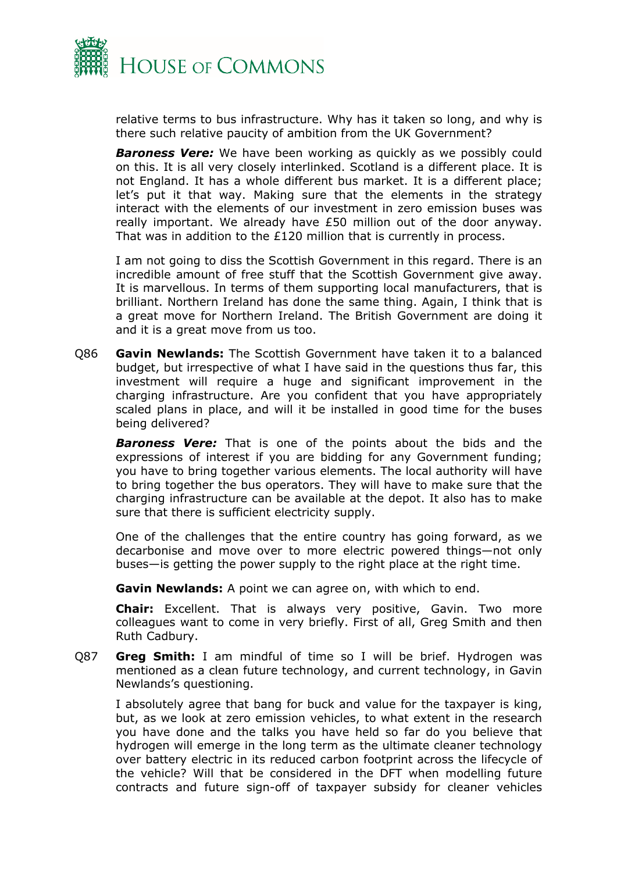

relative terms to bus infrastructure. Why has it taken so long, and why is there such relative paucity of ambition from the UK Government?

*Baroness Vere:* We have been working as quickly as we possibly could on this. It is all very closely interlinked. Scotland is a different place. It is not England. It has a whole different bus market. It is a different place; let's put it that way. Making sure that the elements in the strategy interact with the elements of our investment in zero emission buses was really important. We already have £50 million out of the door anyway. That was in addition to the £120 million that is currently in process.

I am not going to diss the Scottish Government in this regard. There is an incredible amount of free stuff that the Scottish Government give away. It is marvellous. In terms of them supporting local manufacturers, that is brilliant. Northern Ireland has done the same thing. Again, I think that is a great move for Northern Ireland. The British Government are doing it and it is a great move from us too.

Q86 **Gavin Newlands:** The Scottish Government have taken it to a balanced budget, but irrespective of what I have said in the questions thus far, this investment will require a huge and significant improvement in the charging infrastructure. Are you confident that you have appropriately scaled plans in place, and will it be installed in good time for the buses being delivered?

*Baroness Vere:* That is one of the points about the bids and the expressions of interest if you are bidding for any Government funding; you have to bring together various elements. The local authority will have to bring together the bus operators. They will have to make sure that the charging infrastructure can be available at the depot. It also has to make sure that there is sufficient electricity supply.

One of the challenges that the entire country has going forward, as we decarbonise and move over to more electric powered things—not only buses—is getting the power supply to the right place at the right time.

**Gavin Newlands:** A point we can agree on, with which to end.

**Chair:** Excellent. That is always very positive, Gavin. Two more colleagues want to come in very briefly. First of all, Greg Smith and then Ruth Cadbury.

Q87 **Greg Smith:** I am mindful of time so I will be brief. Hydrogen was mentioned as a clean future technology, and current technology, in Gavin Newlands's questioning.

I absolutely agree that bang for buck and value for the taxpayer is king, but, as we look at zero emission vehicles, to what extent in the research you have done and the talks you have held so far do you believe that hydrogen will emerge in the long term as the ultimate cleaner technology over battery electric in its reduced carbon footprint across the lifecycle of the vehicle? Will that be considered in the DFT when modelling future contracts and future sign-off of taxpayer subsidy for cleaner vehicles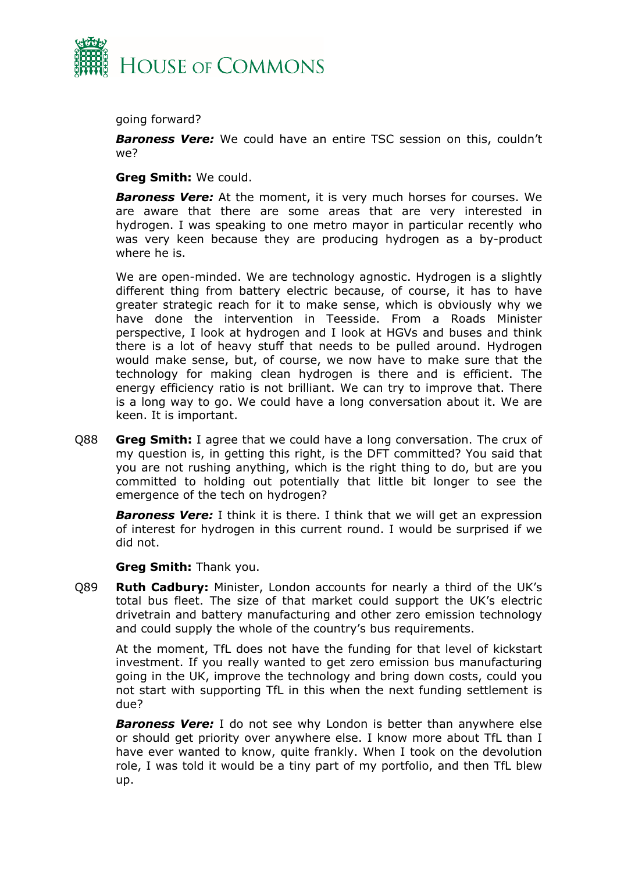

going forward?

*Baroness Vere:* We could have an entire TSC session on this, couldn't we?

**Greg Smith:** We could.

*Baroness Vere:* At the moment, it is very much horses for courses. We are aware that there are some areas that are very interested in hydrogen. I was speaking to one metro mayor in particular recently who was very keen because they are producing hydrogen as a by-product where he is.

We are open-minded. We are technology agnostic. Hydrogen is a slightly different thing from battery electric because, of course, it has to have greater strategic reach for it to make sense, which is obviously why we have done the intervention in Teesside. From a Roads Minister perspective, I look at hydrogen and I look at HGVs and buses and think there is a lot of heavy stuff that needs to be pulled around. Hydrogen would make sense, but, of course, we now have to make sure that the technology for making clean hydrogen is there and is efficient. The energy efficiency ratio is not brilliant. We can try to improve that. There is a long way to go. We could have a long conversation about it. We are keen. It is important.

Q88 **Greg Smith:** I agree that we could have a long conversation. The crux of my question is, in getting this right, is the DFT committed? You said that you are not rushing anything, which is the right thing to do, but are you committed to holding out potentially that little bit longer to see the emergence of the tech on hydrogen?

**Baroness Vere:** I think it is there. I think that we will get an expression of interest for hydrogen in this current round. I would be surprised if we did not.

**Greg Smith:** Thank you.

Q89 **Ruth Cadbury:** Minister, London accounts for nearly a third of the UK's total bus fleet. The size of that market could support the UK's electric drivetrain and battery manufacturing and other zero emission technology and could supply the whole of the country's bus requirements.

At the moment, TfL does not have the funding for that level of kickstart investment. If you really wanted to get zero emission bus manufacturing going in the UK, improve the technology and bring down costs, could you not start with supporting TfL in this when the next funding settlement is due?

**Baroness Vere:** I do not see why London is better than anywhere else or should get priority over anywhere else. I know more about TfL than I have ever wanted to know, quite frankly. When I took on the devolution role, I was told it would be a tiny part of my portfolio, and then TfL blew up.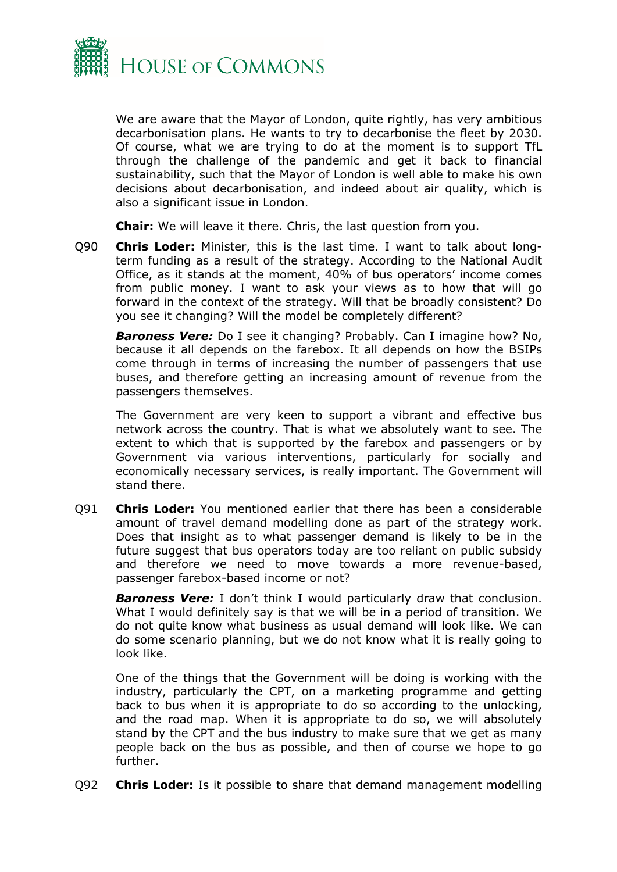

We are aware that the Mayor of London, quite rightly, has very ambitious decarbonisation plans. He wants to try to decarbonise the fleet by 2030. Of course, what we are trying to do at the moment is to support TfL through the challenge of the pandemic and get it back to financial sustainability, such that the Mayor of London is well able to make his own decisions about decarbonisation, and indeed about air quality, which is also a significant issue in London.

**Chair:** We will leave it there. Chris, the last question from you.

Q90 **Chris Loder:** Minister, this is the last time. I want to talk about longterm funding as a result of the strategy. According to the National Audit Office, as it stands at the moment, 40% of bus operators' income comes from public money. I want to ask your views as to how that will go forward in the context of the strategy. Will that be broadly consistent? Do you see it changing? Will the model be completely different?

*Baroness Vere:* Do I see it changing? Probably. Can I imagine how? No, because it all depends on the farebox. It all depends on how the BSIPs come through in terms of increasing the number of passengers that use buses, and therefore getting an increasing amount of revenue from the passengers themselves.

The Government are very keen to support a vibrant and effective bus network across the country. That is what we absolutely want to see. The extent to which that is supported by the farebox and passengers or by Government via various interventions, particularly for socially and economically necessary services, is really important. The Government will stand there.

Q91 **Chris Loder:** You mentioned earlier that there has been a considerable amount of travel demand modelling done as part of the strategy work. Does that insight as to what passenger demand is likely to be in the future suggest that bus operators today are too reliant on public subsidy and therefore we need to move towards a more revenue-based, passenger farebox-based income or not?

*Baroness Vere:* I don't think I would particularly draw that conclusion. What I would definitely say is that we will be in a period of transition. We do not quite know what business as usual demand will look like. We can do some scenario planning, but we do not know what it is really going to look like.

One of the things that the Government will be doing is working with the industry, particularly the CPT, on a marketing programme and getting back to bus when it is appropriate to do so according to the unlocking, and the road map. When it is appropriate to do so, we will absolutely stand by the CPT and the bus industry to make sure that we get as many people back on the bus as possible, and then of course we hope to go further.

Q92 **Chris Loder:** Is it possible to share that demand management modelling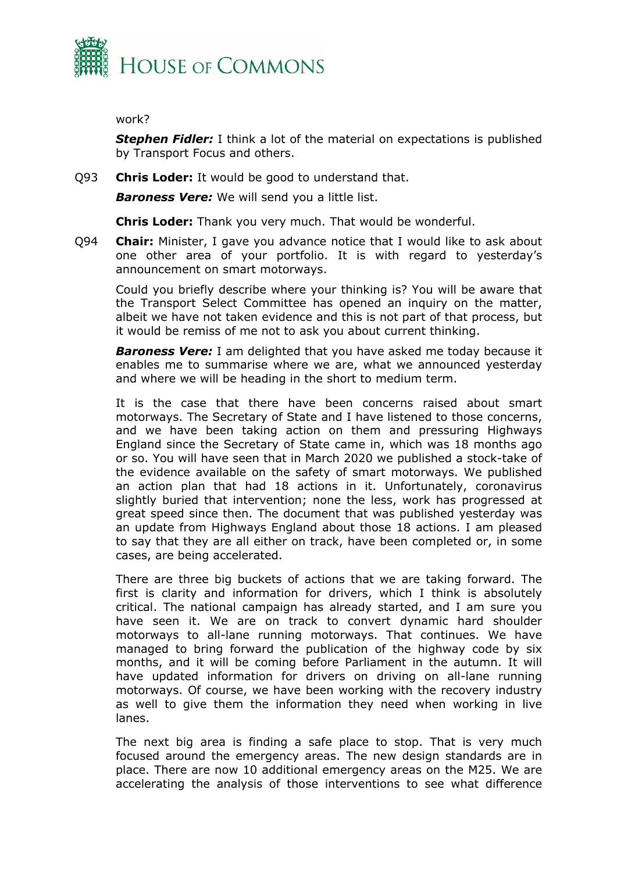

work?

*Stephen Fidler:* I think a lot of the material on expectations is published by Transport Focus and others.

Q93 **Chris Loder:** It would be good to understand that.

*Baroness Vere:* We will send you a little list.

**Chris Loder:** Thank you very much. That would be wonderful.

Q94 **Chair:** Minister, I gave you advance notice that I would like to ask about one other area of your portfolio. It is with regard to yesterday's announcement on smart motorways.

Could you briefly describe where your thinking is? You will be aware that the Transport Select Committee has opened an inquiry on the matter, albeit we have not taken evidence and this is not part of that process, but it would be remiss of me not to ask you about current thinking.

*Baroness Vere:* I am delighted that you have asked me today because it enables me to summarise where we are, what we announced yesterday and where we will be heading in the short to medium term.

It is the case that there have been concerns raised about smart motorways. The Secretary of State and I have listened to those concerns, and we have been taking action on them and pressuring Highways England since the Secretary of State came in, which was 18 months ago or so. You will have seen that in March 2020 we published a stock-take of the evidence available on the safety of smart motorways. We published an action plan that had 18 actions in it. Unfortunately, coronavirus slightly buried that intervention; none the less, work has progressed at great speed since then. The document that was published yesterday was an update from Highways England about those 18 actions. I am pleased to say that they are all either on track, have been completed or, in some cases, are being accelerated.

There are three big buckets of actions that we are taking forward. The first is clarity and information for drivers, which I think is absolutely critical. The national campaign has already started, and I am sure you have seen it. We are on track to convert dynamic hard shoulder motorways to all-lane running motorways. That continues. We have managed to bring forward the publication of the highway code by six months, and it will be coming before Parliament in the autumn. It will have updated information for drivers on driving on all-lane running motorways. Of course, we have been working with the recovery industry as well to give them the information they need when working in live lanes.

The next big area is finding a safe place to stop. That is very much focused around the emergency areas. The new design standards are in place. There are now 10 additional emergency areas on the M25. We are accelerating the analysis of those interventions to see what difference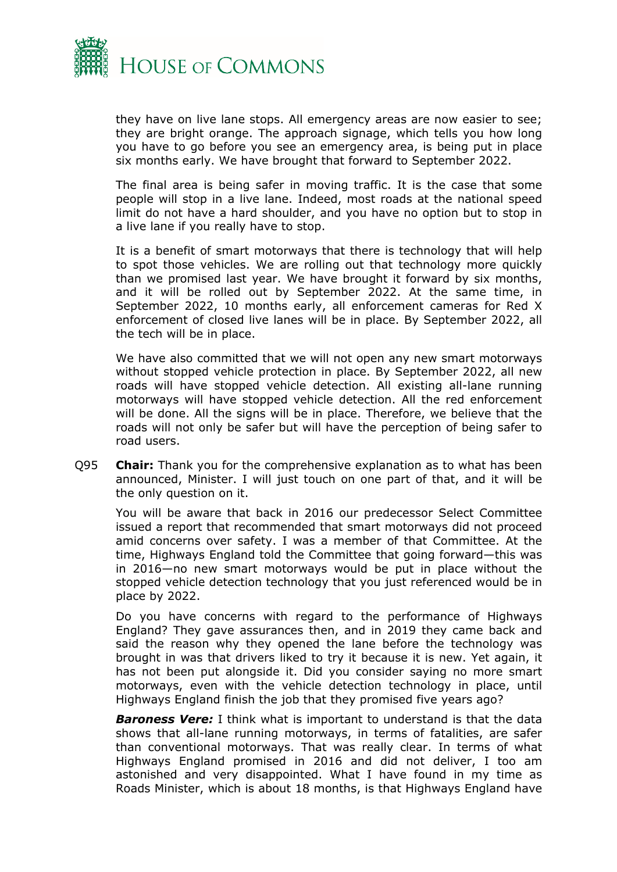

they have on live lane stops. All emergency areas are now easier to see; they are bright orange. The approach signage, which tells you how long you have to go before you see an emergency area, is being put in place six months early. We have brought that forward to September 2022.

The final area is being safer in moving traffic. It is the case that some people will stop in a live lane. Indeed, most roads at the national speed limit do not have a hard shoulder, and you have no option but to stop in a live lane if you really have to stop.

It is a benefit of smart motorways that there is technology that will help to spot those vehicles. We are rolling out that technology more quickly than we promised last year. We have brought it forward by six months, and it will be rolled out by September 2022. At the same time, in September 2022, 10 months early, all enforcement cameras for Red X enforcement of closed live lanes will be in place. By September 2022, all the tech will be in place.

We have also committed that we will not open any new smart motorways without stopped vehicle protection in place. By September 2022, all new roads will have stopped vehicle detection. All existing all-lane running motorways will have stopped vehicle detection. All the red enforcement will be done. All the signs will be in place. Therefore, we believe that the roads will not only be safer but will have the perception of being safer to road users.

Q95 **Chair:** Thank you for the comprehensive explanation as to what has been announced, Minister. I will just touch on one part of that, and it will be the only question on it.

You will be aware that back in 2016 our predecessor Select Committee issued a report that recommended that smart motorways did not proceed amid concerns over safety. I was a member of that Committee. At the time, Highways England told the Committee that going forward—this was in 2016—no new smart motorways would be put in place without the stopped vehicle detection technology that you just referenced would be in place by 2022.

Do you have concerns with regard to the performance of Highways England? They gave assurances then, and in 2019 they came back and said the reason why they opened the lane before the technology was brought in was that drivers liked to try it because it is new. Yet again, it has not been put alongside it. Did you consider saying no more smart motorways, even with the vehicle detection technology in place, until Highways England finish the job that they promised five years ago?

*Baroness Vere:* I think what is important to understand is that the data shows that all-lane running motorways, in terms of fatalities, are safer than conventional motorways. That was really clear. In terms of what Highways England promised in 2016 and did not deliver, I too am astonished and very disappointed. What I have found in my time as Roads Minister, which is about 18 months, is that Highways England have